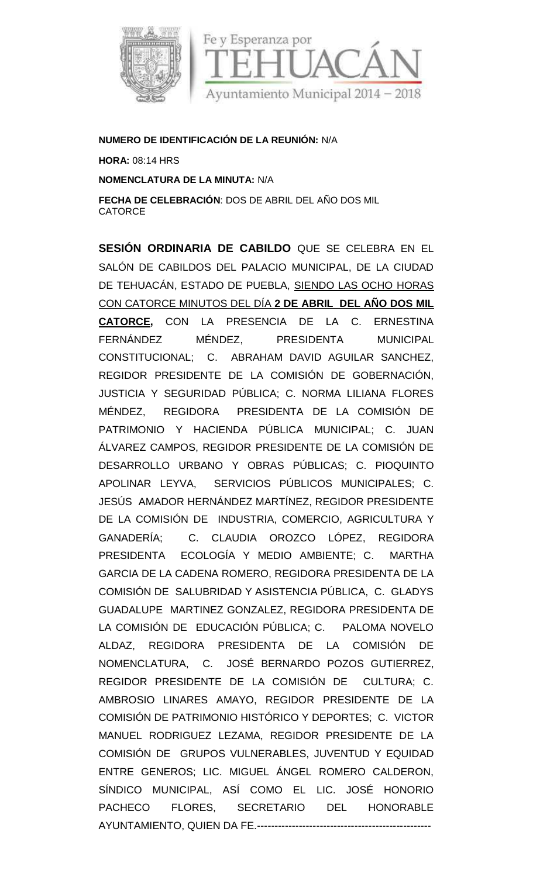

## **NUMERO DE IDENTIFICACIÓN DE LA REUNIÓN:** N/A

**HORA:** 08:14 HRS

**NOMENCLATURA DE LA MINUTA:** N/A

**FECHA DE CELEBRACIÓN**: DOS DE ABRIL DEL AÑO DOS MIL **CATORCE** 

**SESIÓN ORDINARIA DE CABILDO** QUE SE CELEBRA EN EL SALÓN DE CABILDOS DEL PALACIO MUNICIPAL, DE LA CIUDAD DE TEHUACÁN, ESTADO DE PUEBLA, SIENDO LAS OCHO HORAS CON CATORCE MINUTOS DEL DÍA **2 DE ABRIL DEL AÑO DOS MIL CATORCE,** CON LA PRESENCIA DE LA C. ERNESTINA FERNÁNDEZ MÉNDEZ, PRESIDENTA MUNICIPAL CONSTITUCIONAL; C. ABRAHAM DAVID AGUILAR SANCHEZ, REGIDOR PRESIDENTE DE LA COMISIÓN DE GOBERNACIÓN, JUSTICIA Y SEGURIDAD PÚBLICA; C. NORMA LILIANA FLORES MÉNDEZ, REGIDORA PRESIDENTA DE LA COMISIÓN DE PATRIMONIO Y HACIENDA PÚBLICA MUNICIPAL; C. JUAN ÁLVAREZ CAMPOS, REGIDOR PRESIDENTE DE LA COMISIÓN DE DESARROLLO URBANO Y OBRAS PÚBLICAS; C. PIOQUINTO APOLINAR LEYVA, SERVICIOS PÚBLICOS MUNICIPALES; C. JESÚS AMADOR HERNÁNDEZ MARTÍNEZ, REGIDOR PRESIDENTE DE LA COMISIÓN DE INDUSTRIA, COMERCIO, AGRICULTURA Y GANADERÍA; C. CLAUDIA OROZCO LÓPEZ, REGIDORA PRESIDENTA ECOLOGÍA Y MEDIO AMBIENTE; C. MARTHA GARCIA DE LA CADENA ROMERO, REGIDORA PRESIDENTA DE LA COMISIÓN DE SALUBRIDAD Y ASISTENCIA PÚBLICA, C. GLADYS GUADALUPE MARTINEZ GONZALEZ, REGIDORA PRESIDENTA DE LA COMISIÓN DE EDUCACIÓN PÚBLICA; C. PALOMA NOVELO ALDAZ, REGIDORA PRESIDENTA DE LA COMISIÓN DE NOMENCLATURA, C. JOSÉ BERNARDO POZOS GUTIERREZ, REGIDOR PRESIDENTE DE LA COMISIÓN DE CULTURA; C. AMBROSIO LINARES AMAYO, REGIDOR PRESIDENTE DE LA COMISIÓN DE PATRIMONIO HISTÓRICO Y DEPORTES; C. VICTOR MANUEL RODRIGUEZ LEZAMA, REGIDOR PRESIDENTE DE LA COMISIÓN DE GRUPOS VULNERABLES, JUVENTUD Y EQUIDAD ENTRE GENEROS; LIC. MIGUEL ÁNGEL ROMERO CALDERON, SÍNDICO MUNICIPAL, ASÍ COMO EL LIC. JOSÉ HONORIO PACHECO FLORES, SECRETARIO DEL HONORABLE AYUNTAMIENTO, QUIEN DA FE.--------------------------------------------------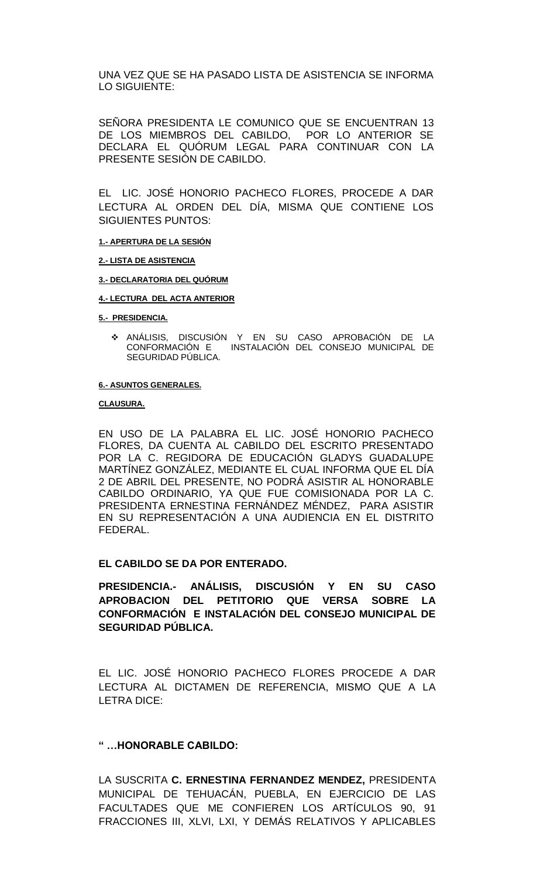UNA VEZ QUE SE HA PASADO LISTA DE ASISTENCIA SE INFORMA LO SIGUIENTE:

SEÑORA PRESIDENTA LE COMUNICO QUE SE ENCUENTRAN 13 DE LOS MIEMBROS DEL CABILDO, POR LO ANTERIOR SE DECLARA EL QUÓRUM LEGAL PARA CONTINUAR CON LA PRESENTE SESIÓN DE CABILDO.

EL LIC. JOSÉ HONORIO PACHECO FLORES, PROCEDE A DAR LECTURA AL ORDEN DEL DÍA, MISMA QUE CONTIENE LOS SIGUIENTES PUNTOS:

#### **1.- APERTURA DE LA SESIÓN**

#### **2.- LISTA DE ASISTENCIA**

#### **3.- DECLARATORIA DEL QUÓRUM**

#### **4.- LECTURA DEL ACTA ANTERIOR**

#### **5.- PRESIDENCIA.**

 ANÁLISIS, DISCUSIÓN Y EN SU CASO APROBACIÓN DE LA INSTALACIÓN DEL CONSEJO MUNICIPAL DE SEGURIDAD PÚBLICA.

#### **6.- ASUNTOS GENERALES.**

#### **CLAUSURA.**

EN USO DE LA PALABRA EL LIC. JOSÉ HONORIO PACHECO FLORES, DA CUENTA AL CABILDO DEL ESCRITO PRESENTADO POR LA C. REGIDORA DE EDUCACIÓN GLADYS GUADALUPE MARTÍNEZ GONZÁLEZ, MEDIANTE EL CUAL INFORMA QUE EL DÍA 2 DE ABRIL DEL PRESENTE, NO PODRÁ ASISTIR AL HONORABLE CABILDO ORDINARIO, YA QUE FUE COMISIONADA POR LA C. PRESIDENTA ERNESTINA FERNÁNDEZ MÉNDEZ, PARA ASISTIR EN SU REPRESENTACIÓN A UNA AUDIENCIA EN EL DISTRITO FEDERAL.

#### **EL CABILDO SE DA POR ENTERADO.**

**PRESIDENCIA.- ANÁLISIS, DISCUSIÓN Y EN SU CASO APROBACION DEL PETITORIO QUE VERSA SOBRE LA CONFORMACIÓN E INSTALACIÓN DEL CONSEJO MUNICIPAL DE SEGURIDAD PÚBLICA.**

EL LIC. JOSÉ HONORIO PACHECO FLORES PROCEDE A DAR LECTURA AL DICTAMEN DE REFERENCIA, MISMO QUE A LA LETRA DICE:

#### **" …HONORABLE CABILDO:**

LA SUSCRITA **C. ERNESTINA FERNANDEZ MENDEZ,** PRESIDENTA MUNICIPAL DE TEHUACÁN, PUEBLA, EN EJERCICIO DE LAS FACULTADES QUE ME CONFIEREN LOS ARTÍCULOS 90, 91 FRACCIONES III, XLVI, LXI, Y DEMÁS RELATIVOS Y APLICABLES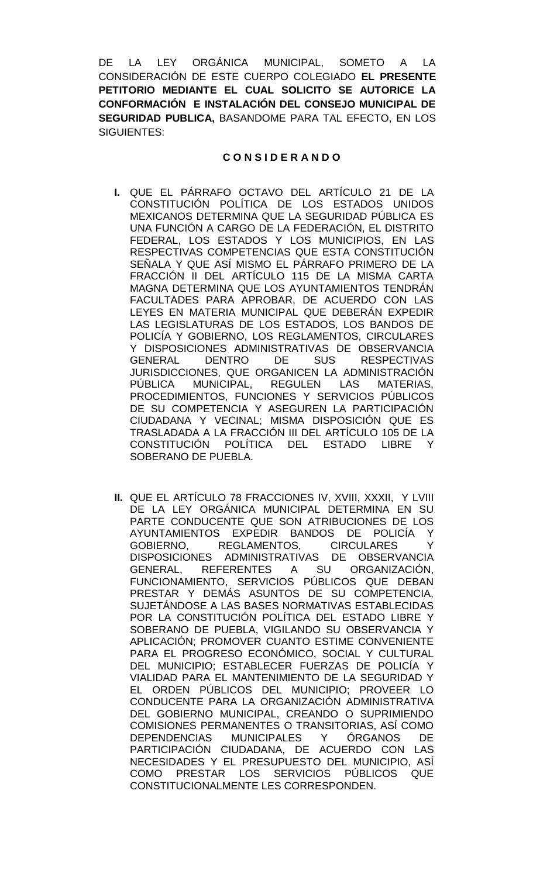DE LA LEY ORGÁNICA MUNICIPAL, SOMETO A LA CONSIDERACIÓN DE ESTE CUERPO COLEGIADO **EL PRESENTE PETITORIO MEDIANTE EL CUAL SOLICITO SE AUTORICE LA CONFORMACIÓN E INSTALACIÓN DEL CONSEJO MUNICIPAL DE SEGURIDAD PUBLICA,** BASANDOME PARA TAL EFECTO, EN LOS SIGUIENTES:

#### **C O N S I D E R A N D O**

- **I.** QUE EL PÁRRAFO OCTAVO DEL ARTÍCULO 21 DE LA CONSTITUCIÓN POLÍTICA DE LOS ESTADOS UNIDOS MEXICANOS DETERMINA QUE LA SEGURIDAD PÚBLICA ES UNA FUNCIÓN A CARGO DE LA FEDERACIÓN, EL DISTRITO FEDERAL, LOS ESTADOS Y LOS MUNICIPIOS, EN LAS RESPECTIVAS COMPETENCIAS QUE ESTA CONSTITUCIÓN SEÑALA Y QUE ASÍ MISMO EL PÁRRAFO PRIMERO DE LA FRACCIÓN II DEL ARTÍCULO 115 DE LA MISMA CARTA MAGNA DETERMINA QUE LOS AYUNTAMIENTOS TENDRÁN FACULTADES PARA APROBAR, DE ACUERDO CON LAS LEYES EN MATERIA MUNICIPAL QUE DEBERÁN EXPEDIR LAS LEGISLATURAS DE LOS ESTADOS, LOS BANDOS DE POLICÍA Y GOBIERNO, LOS REGLAMENTOS, CIRCULARES Y DISPOSICIONES ADMINISTRATIVAS DE OBSERVANCIA GENERAL DENTRO DE SUS RESPECTIVAS JURISDICCIONES, QUE ORGANICEN LA ADMINISTRACIÓN PÚBLICA MUNICIPAL, REGULEN LAS MATERIAS, PROCEDIMIENTOS, FUNCIONES Y SERVICIOS PÚBLICOS DE SU COMPETENCIA Y ASEGUREN LA PARTICIPACIÓN CIUDADANA Y VECINAL; MISMA DISPOSICIÓN QUE ES TRASLADADA A LA FRACCIÓN III DEL ARTÍCULO 105 DE LA CONSTITUCIÓN POLÍTICA DEL ESTADO LIBRE Y SOBERANO DE PUEBLA.
- **II.** QUE EL ARTÍCULO 78 FRACCIONES IV, XVIII, XXXII, Y LVIII DE LA LEY ORGÁNICA MUNICIPAL DETERMINA EN SU PARTE CONDUCENTE QUE SON ATRIBUCIONES DE LOS AYUNTAMIENTOS EXPEDIR BANDOS DE POLICÍA Y GOBIERNO, REGLAMENTOS, CIRCULARES Y DISPOSICIONES ADMINISTRATIVAS DE OBSERVANCIA GENERAL, REFERENTES A SU ORGANIZACIÓN, FUNCIONAMIENTO, SERVICIOS PÚBLICOS QUE DEBAN PRESTAR Y DEMÁS ASUNTOS DE SU COMPETENCIA, SUJETÁNDOSE A LAS BASES NORMATIVAS ESTABLECIDAS POR LA CONSTITUCIÓN POLÍTICA DEL ESTADO LIBRE Y SOBERANO DE PUEBLA, VIGILANDO SU OBSERVANCIA Y APLICACIÓN; PROMOVER CUANTO ESTIME CONVENIENTE PARA EL PROGRESO ECONÓMICO, SOCIAL Y CULTURAL DEL MUNICIPIO; ESTABLECER FUERZAS DE POLICÍA Y VIALIDAD PARA EL MANTENIMIENTO DE LA SEGURIDAD Y EL ORDEN PÚBLICOS DEL MUNICIPIO; PROVEER LO CONDUCENTE PARA LA ORGANIZACIÓN ADMINISTRATIVA DEL GOBIERNO MUNICIPAL, CREANDO O SUPRIMIENDO COMISIONES PERMANENTES O TRANSITORIAS, ASÍ COMO DEPENDENCIAS MUNICIPALES Y ÓRGANOS DE PARTICIPACIÓN CIUDADANA, DE ACUERDO CON LAS NECESIDADES Y EL PRESUPUESTO DEL MUNICIPIO, ASÍ COMO PRESTAR LOS SERVICIOS PÚBLICOS QUE CONSTITUCIONALMENTE LES CORRESPONDEN.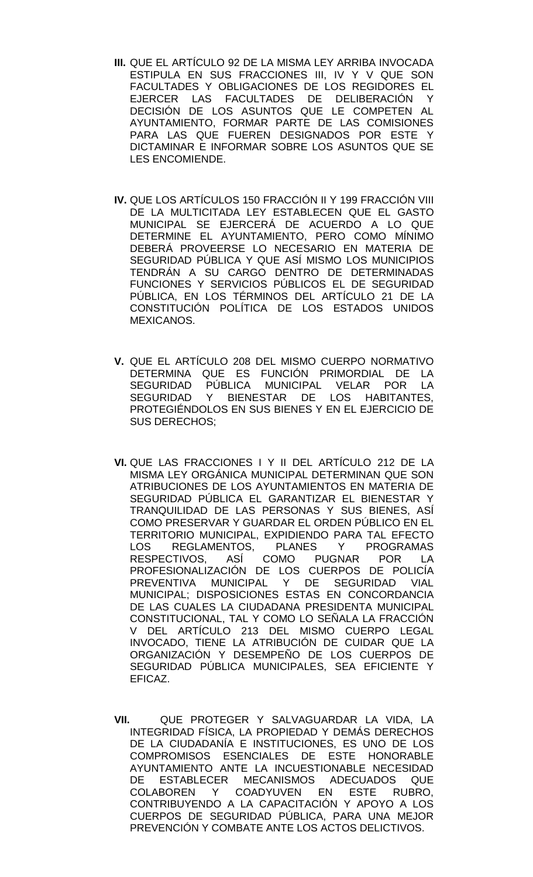- **III.** QUE EL ARTÍCULO 92 DE LA MISMA LEY ARRIBA INVOCADA ESTIPULA EN SUS FRACCIONES III, IV Y V QUE SON FACULTADES Y OBLIGACIONES DE LOS REGIDORES EL EJERCER LAS FACULTADES DE DELIBERACIÓN Y DECISIÓN DE LOS ASUNTOS QUE LE COMPETEN AL AYUNTAMIENTO, FORMAR PARTE DE LAS COMISIONES PARA LAS QUE FUEREN DESIGNADOS POR ESTE Y DICTAMINAR E INFORMAR SOBRE LOS ASUNTOS QUE SE LES ENCOMIENDE.
- **IV.** QUE LOS ARTÍCULOS 150 FRACCIÓN II Y 199 FRACCIÓN VIII DE LA MULTICITADA LEY ESTABLECEN QUE EL GASTO MUNICIPAL SE EJERCERÁ DE ACUERDO A LO QUE DETERMINE EL AYUNTAMIENTO, PERO COMO MÍNIMO DEBERÁ PROVEERSE LO NECESARIO EN MATERIA DE SEGURIDAD PÚBLICA Y QUE ASÍ MISMO LOS MUNICIPIOS TENDRÁN A SU CARGO DENTRO DE DETERMINADAS FUNCIONES Y SERVICIOS PÚBLICOS EL DE SEGURIDAD PÚBLICA, EN LOS TÉRMINOS DEL ARTÍCULO 21 DE LA CONSTITUCIÓN POLÍTICA DE LOS ESTADOS UNIDOS MEXICANOS.
- **V.** QUE EL ARTÍCULO 208 DEL MISMO CUERPO NORMATIVO DETERMINA QUE ES FUNCIÓN PRIMORDIAL DE LA SEGURIDAD PÚBLICA MUNICIPAL VELAR POR LA SEGURIDAD Y BIENESTAR DE LOS HABITANTES, PROTEGIÉNDOLOS EN SUS BIENES Y EN EL EJERCICIO DE SUS DERECHOS;
- **VI.** QUE LAS FRACCIONES I Y II DEL ARTÍCULO 212 DE LA MISMA LEY ORGÁNICA MUNICIPAL DETERMINAN QUE SON ATRIBUCIONES DE LOS AYUNTAMIENTOS EN MATERIA DE SEGURIDAD PÚBLICA EL GARANTIZAR EL BIENESTAR Y TRANQUILIDAD DE LAS PERSONAS Y SUS BIENES, ASÍ COMO PRESERVAR Y GUARDAR EL ORDEN PÚBLICO EN EL TERRITORIO MUNICIPAL, EXPIDIENDO PARA TAL EFECTO LOS REGLAMENTOS, PLANES Y PROGRAMAS RESPECTIVOS, ASÍ COMO PUGNAR POR LA PROFESIONALIZACIÓN DE LOS CUERPOS DE POLICÍA PREVENTIVA MUNICIPAL Y DE SEGURIDAD VIAL MUNICIPAL; DISPOSICIONES ESTAS EN CONCORDANCIA DE LAS CUALES LA CIUDADANA PRESIDENTA MUNICIPAL CONSTITUCIONAL, TAL Y COMO LO SEÑALA LA FRACCIÓN V DEL ARTÍCULO 213 DEL MISMO CUERPO LEGAL INVOCADO, TIENE LA ATRIBUCIÓN DE CUIDAR QUE LA ORGANIZACIÓN Y DESEMPEÑO DE LOS CUERPOS DE SEGURIDAD PÚBLICA MUNICIPALES, SEA EFICIENTE Y EFICAZ.
- **VII.** QUE PROTEGER Y SALVAGUARDAR LA VIDA, LA INTEGRIDAD FÍSICA, LA PROPIEDAD Y DEMÁS DERECHOS DE LA CIUDADANÍA E INSTITUCIONES, ES UNO DE LOS COMPROMISOS ESENCIALES DE ESTE HONORABLE AYUNTAMIENTO ANTE LA INCUESTIONABLE NECESIDAD DE ESTABLECER MECANISMOS ADECUADOS QUE COLABOREN Y COADYUVEN EN ESTE RUBRO, CONTRIBUYENDO A LA CAPACITACIÓN Y APOYO A LOS CUERPOS DE SEGURIDAD PÚBLICA, PARA UNA MEJOR PREVENCIÓN Y COMBATE ANTE LOS ACTOS DELICTIVOS.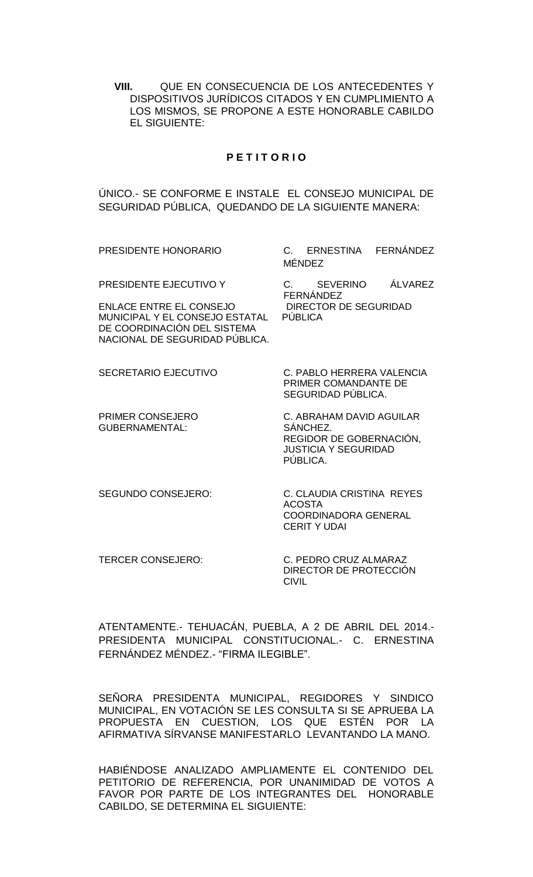**VIII.** QUE EN CONSECUENCIA DE LOS ANTECEDENTES Y DISPOSITIVOS JURÍDICOS CITADOS Y EN CUMPLIMIENTO A LOS MISMOS, SE PROPONE A ESTE HONORABLE CABILDO EL SIGUIENTE:

#### **P E T I T O R I O**

ÚNICO.- SE CONFORME E INSTALE EL CONSEJO MUNICIPAL DE SEGURIDAD PÚBLICA, QUEDANDO DE LA SIGUIENTE MANERA:

| PRESIDENTE HONORARIO                                                                                                                                        | C. ERNESTINA FERNÁNDEZ<br><b>MÉNDEZ</b>                                                                    |
|-------------------------------------------------------------------------------------------------------------------------------------------------------------|------------------------------------------------------------------------------------------------------------|
| PRESIDENTE EJECUTIVO Y<br><b>ENLACE ENTRE EL CONSEJO</b><br>MUNICIPAL Y EL CONSEJO ESTATAL<br>DE COORDINACIÓN DEL SISTEMA<br>NACIONAL DE SEGURIDAD PÚBLICA. | ÁLVAREZ<br>C. SEVERINO<br><b>FERNÁNDEZ</b><br><b>DIRECTOR DE SEGURIDAD</b><br><b>PÚBLICA</b>               |
| <b>SECRETARIO EJECUTIVO</b>                                                                                                                                 | C. PABLO HERRERA VALENCIA<br>PRIMER COMANDANTE DE<br>SEGURIDAD PÚBLICA.                                    |
| PRIMER CONSEJERO<br>GUBERNAMENTAL:                                                                                                                          | C. ABRAHAM DAVID AGUILAR<br>SÁNCHEZ.<br>REGIDOR DE GOBERNACIÓN,<br><b>JUSTICIA Y SEGURIDAD</b><br>PÚBLICA. |
| <b>SEGUNDO CONSEJERO:</b>                                                                                                                                   | C. CLAUDIA CRISTINA REYES<br><b>ACOSTA</b><br><b>COORDINADORA GENERAL</b><br><b>CERITY UDAI</b>            |

TERCER CONSEJERO: C. PEDRO CRUZ ALMARAZ DIRECTOR DE PROTECCIÓN CIVIL

ATENTAMENTE.- TEHUACÁN, PUEBLA, A 2 DE ABRIL DEL 2014.- PRESIDENTA MUNICIPAL CONSTITUCIONAL.- C. ERNESTINA FERNÁNDEZ MÉNDEZ.- "FIRMA ILEGIBLE".

SEÑORA PRESIDENTA MUNICIPAL, REGIDORES Y SINDICO MUNICIPAL, EN VOTACIÓN SE LES CONSULTA SI SE APRUEBA LA PROPUESTA EN CUESTION, LOS QUE ESTÉN POR LA AFIRMATIVA SÍRVANSE MANIFESTARLO LEVANTANDO LA MANO.

HABIÉNDOSE ANALIZADO AMPLIAMENTE EL CONTENIDO DEL PETITORIO DE REFERENCIA, POR UNANIMIDAD DE VOTOS A FAVOR POR PARTE DE LOS INTEGRANTES DEL HONORABLE CABILDO, SE DETERMINA EL SIGUIENTE: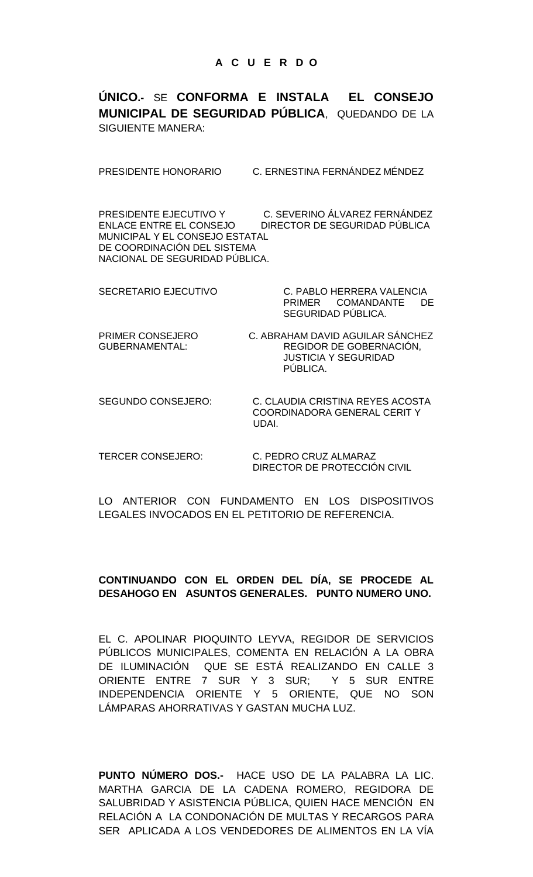**ÚNICO.-** SE **CONFORMA E INSTALA EL CONSEJO MUNICIPAL DE SEGURIDAD PÚBLICA**, QUEDANDO DE LA SIGUIENTE MANERA:

PRESIDENTE HONORARIO C. ERNESTINA FERNÁNDEZ MÉNDEZ

PRESIDENTE EJECUTIVO Y C. SEVERINO ÁLVAREZ FERNÁNDEZ ENLACE ENTRE EL CONSEJO DIRECTOR DE SEGURIDAD PÚBLICA MUNICIPAL Y EL CONSEJO ESTATAL DE COORDINACIÓN DEL SISTEMA NACIONAL DE SEGURIDAD PÚBLICA.

SECRETARIO EJECUTIVO C. PABLO HERRERA VALENCIA PRIMER COMANDANTE DE SEGURIDAD PÚBLICA.

PRIMER CONSEJERO C. ABRAHAM DAVID AGUILAR SÁNCHEZ GUBERNAMENTAL: REGIDOR DE GOBERNACIÓN, JUSTICIA Y SEGURIDAD PÚBLICA.

SEGUNDO CONSEJERO: C. CLAUDIA CRISTINA REYES ACOSTA COORDINADORA GENERAL CERIT Y UDAI.

TERCER CONSEJERO: C. PEDRO CRUZ ALMARAZ DIRECTOR DE PROTECCIÓN CIVIL

LO ANTERIOR CON FUNDAMENTO EN LOS DISPOSITIVOS LEGALES INVOCADOS EN EL PETITORIO DE REFERENCIA.

## **CONTINUANDO CON EL ORDEN DEL DÍA, SE PROCEDE AL DESAHOGO EN ASUNTOS GENERALES. PUNTO NUMERO UNO.**

EL C. APOLINAR PIOQUINTO LEYVA, REGIDOR DE SERVICIOS PÚBLICOS MUNICIPALES, COMENTA EN RELACIÓN A LA OBRA DE ILUMINACIÓN QUE SE ESTÁ REALIZANDO EN CALLE 3 ORIENTE ENTRE 7 SUR Y 3 SUR; Y 5 SUR ENTRE INDEPENDENCIA ORIENTE Y 5 ORIENTE, QUE NO SON LÁMPARAS AHORRATIVAS Y GASTAN MUCHA LUZ.

**PUNTO NÚMERO DOS.-** HACE USO DE LA PALABRA LA LIC. MARTHA GARCIA DE LA CADENA ROMERO, REGIDORA DE SALUBRIDAD Y ASISTENCIA PÚBLICA, QUIEN HACE MENCIÓN EN RELACIÓN A LA CONDONACIÓN DE MULTAS Y RECARGOS PARA SER APLICADA A LOS VENDEDORES DE ALIMENTOS EN LA VÍA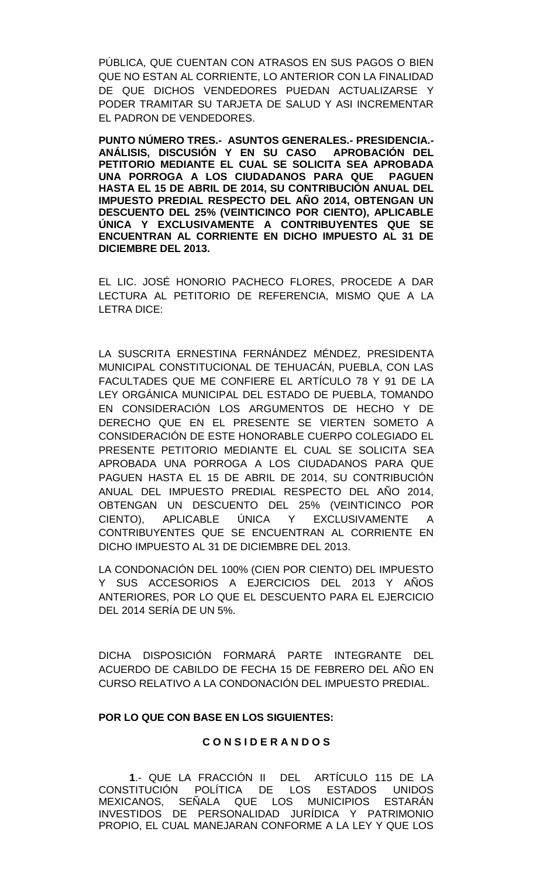PÚBLICA, QUE CUENTAN CON ATRASOS EN SUS PAGOS O BIEN QUE NO ESTAN AL CORRIENTE, LO ANTERIOR CON LA FINALIDAD DE QUE DICHOS VENDEDORES PUEDAN ACTUALIZARSE Y PODER TRAMITAR SU TARJETA DE SALUD Y ASI INCREMENTAR EL PADRON DE VENDEDORES.

**PUNTO NÚMERO TRES.- ASUNTOS GENERALES.- PRESIDENCIA.- ANÁLISIS, DISCUSIÓN Y EN SU CASO APROBACIÓN DEL PETITORIO MEDIANTE EL CUAL SE SOLICITA SEA APROBADA UNA PORROGA A LOS CIUDADANOS PARA QUE PAGUEN HASTA EL 15 DE ABRIL DE 2014, SU CONTRIBUCIÓN ANUAL DEL IMPUESTO PREDIAL RESPECTO DEL AÑO 2014, OBTENGAN UN DESCUENTO DEL 25% (VEINTICINCO POR CIENTO), APLICABLE ÚNICA Y EXCLUSIVAMENTE A CONTRIBUYENTES QUE SE ENCUENTRAN AL CORRIENTE EN DICHO IMPUESTO AL 31 DE DICIEMBRE DEL 2013.**

EL LIC. JOSÉ HONORIO PACHECO FLORES, PROCEDE A DAR LECTURA AL PETITORIO DE REFERENCIA, MISMO QUE A LA LETRA DICE:

LA SUSCRITA ERNESTINA FERNÁNDEZ MÉNDEZ, PRESIDENTA MUNICIPAL CONSTITUCIONAL DE TEHUACÁN, PUEBLA, CON LAS FACULTADES QUE ME CONFIERE EL ARTÍCULO 78 Y 91 DE LA LEY ORGÁNICA MUNICIPAL DEL ESTADO DE PUEBLA, TOMANDO EN CONSIDERACIÓN LOS ARGUMENTOS DE HECHO Y DE DERECHO QUE EN EL PRESENTE SE VIERTEN SOMETO A CONSIDERACIÓN DE ESTE HONORABLE CUERPO COLEGIADO EL PRESENTE PETITORIO MEDIANTE EL CUAL SE SOLICITA SEA APROBADA UNA PORROGA A LOS CIUDADANOS PARA QUE PAGUEN HASTA EL 15 DE ABRIL DE 2014, SU CONTRIBUCIÓN ANUAL DEL IMPUESTO PREDIAL RESPECTO DEL AÑO 2014, OBTENGAN UN DESCUENTO DEL 25% (VEINTICINCO POR CIENTO), APLICABLE ÚNICA Y EXCLUSIVAMENTE A CONTRIBUYENTES QUE SE ENCUENTRAN AL CORRIENTE EN DICHO IMPUESTO AL 31 DE DICIEMBRE DEL 2013.

LA CONDONACIÓN DEL 100% (CIEN POR CIENTO) DEL IMPUESTO Y SUS ACCESORIOS A EJERCICIOS DEL 2013 Y AÑOS ANTERIORES, POR LO QUE EL DESCUENTO PARA EL EJERCICIO DEL 2014 SERÍA DE UN 5%.

DICHA DISPOSICIÓN FORMARÁ PARTE INTEGRANTE DEL ACUERDO DE CABILDO DE FECHA 15 DE FEBRERO DEL AÑO EN CURSO RELATIVO A LA CONDONACIÓN DEL IMPUESTO PREDIAL.

#### **POR LO QUE CON BASE EN LOS SIGUIENTES:**

#### **C O N S I D E R A N D O S**

**1**.- QUE LA FRACCIÓN II DEL ARTÍCULO 115 DE LA CONSTITUCIÓN POLÍTICA DE LOS ESTADOS UNIDOS MEXICANOS, SEÑALA QUE LOS MUNICIPIOS ESTARÁN INVESTIDOS DE PERSONALIDAD JURÍDICA Y PATRIMONIO PROPIO, EL CUAL MANEJARAN CONFORME A LA LEY Y QUE LOS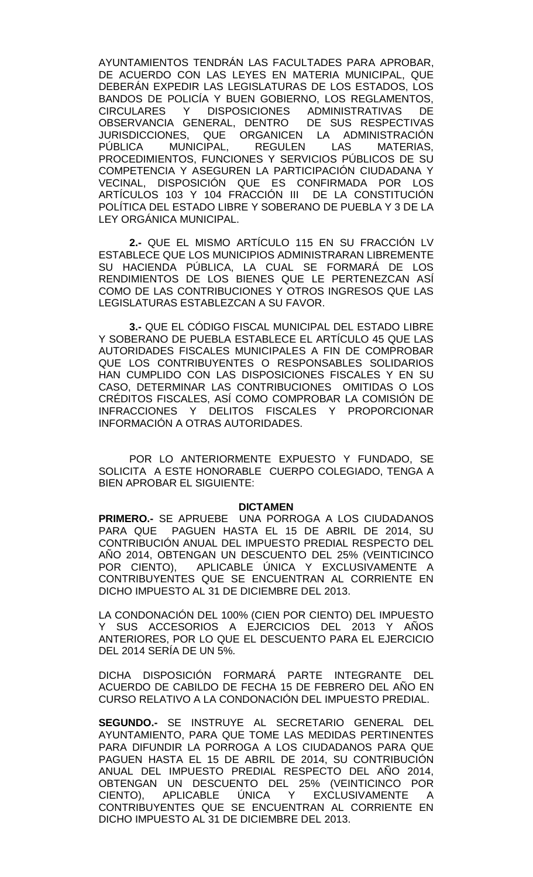AYUNTAMIENTOS TENDRÁN LAS FACULTADES PARA APROBAR, DE ACUERDO CON LAS LEYES EN MATERIA MUNICIPAL, QUE DEBERÁN EXPEDIR LAS LEGISLATURAS DE LOS ESTADOS, LOS BANDOS DE POLICÍA Y BUEN GOBIERNO, LOS REGLAMENTOS, CIRCULARES Y DISPOSICIONES ADMINISTRATIVAS DE OBSERVANCIA GENERAL, DENTRO DE SUS RESPECTIVAS JURISDICCIONES, QUE ORGANICEN LA ADMINISTRACIÓN<br>PÚBLICA MUNICIPAL. REGULEN LAS MATERIAS. MUNICIPAL, REGULEN LAS PROCEDIMIENTOS, FUNCIONES Y SERVICIOS PÚBLICOS DE SU COMPETENCIA Y ASEGUREN LA PARTICIPACIÓN CIUDADANA Y VECINAL, DISPOSICIÓN QUE ES CONFIRMADA POR LOS ARTÍCULOS 103 Y 104 FRACCIÓN III DE LA CONSTITUCIÓN POLÍTICA DEL ESTADO LIBRE Y SOBERANO DE PUEBLA Y 3 DE LA LEY ORGÁNICA MUNICIPAL.

**2.-** QUE EL MISMO ARTÍCULO 115 EN SU FRACCIÓN LV ESTABLECE QUE LOS MUNICIPIOS ADMINISTRARAN LIBREMENTE SU HACIENDA PÚBLICA, LA CUAL SE FORMARÁ DE LOS RENDIMIENTOS DE LOS BIENES QUE LE PERTENEZCAN ASÍ COMO DE LAS CONTRIBUCIONES Y OTROS INGRESOS QUE LAS LEGISLATURAS ESTABLEZCAN A SU FAVOR.

**3.-** QUE EL CÓDIGO FISCAL MUNICIPAL DEL ESTADO LIBRE Y SOBERANO DE PUEBLA ESTABLECE EL ARTÍCULO 45 QUE LAS AUTORIDADES FISCALES MUNICIPALES A FIN DE COMPROBAR QUE LOS CONTRIBUYENTES O RESPONSABLES SOLIDARIOS HAN CUMPLIDO CON LAS DISPOSICIONES FISCALES Y EN SU CASO, DETERMINAR LAS CONTRIBUCIONES OMITIDAS O LOS CRÉDITOS FISCALES, ASÍ COMO COMPROBAR LA COMISIÓN DE INFRACCIONES Y DELITOS FISCALES Y PROPORCIONAR INFORMACIÓN A OTRAS AUTORIDADES.

POR LO ANTERIORMENTE EXPUESTO Y FUNDADO, SE SOLICITA A ESTE HONORABLE CUERPO COLEGIADO, TENGA A BIEN APROBAR EL SIGUIENTE:

#### **DICTAMEN**

**PRIMERO.-** SE APRUEBE UNA PORROGA A LOS CIUDADANOS PARA QUE PAGUEN HASTA EL 15 DE ABRIL DE 2014, SU CONTRIBUCIÓN ANUAL DEL IMPUESTO PREDIAL RESPECTO DEL AÑO 2014, OBTENGAN UN DESCUENTO DEL 25% (VEINTICINCO POR CIENTO), APLICABLE ÚNICA Y EXCLUSIVAMENTE A CONTRIBUYENTES QUE SE ENCUENTRAN AL CORRIENTE EN DICHO IMPUESTO AL 31 DE DICIEMBRE DEL 2013.

LA CONDONACIÓN DEL 100% (CIEN POR CIENTO) DEL IMPUESTO Y SUS ACCESORIOS A EJERCICIOS DEL 2013 Y AÑOS ANTERIORES, POR LO QUE EL DESCUENTO PARA EL EJERCICIO DEL 2014 SERÍA DE UN 5%.

DICHA DISPOSICIÓN FORMARÁ PARTE INTEGRANTE DEL ACUERDO DE CABILDO DE FECHA 15 DE FEBRERO DEL AÑO EN CURSO RELATIVO A LA CONDONACIÓN DEL IMPUESTO PREDIAL.

**SEGUNDO.-** SE INSTRUYE AL SECRETARIO GENERAL DEL AYUNTAMIENTO, PARA QUE TOME LAS MEDIDAS PERTINENTES PARA DIFUNDIR LA PORROGA A LOS CIUDADANOS PARA QUE PAGUEN HASTA EL 15 DE ABRIL DE 2014, SU CONTRIBUCIÓN ANUAL DEL IMPUESTO PREDIAL RESPECTO DEL AÑO 2014, OBTENGAN UN DESCUENTO DEL 25% (VEINTICINCO POR CIENTO), APLICABLE ÚNICA Y EXCLUSIVAMENTE A CONTRIBUYENTES QUE SE ENCUENTRAN AL CORRIENTE EN DICHO IMPUESTO AL 31 DE DICIEMBRE DEL 2013.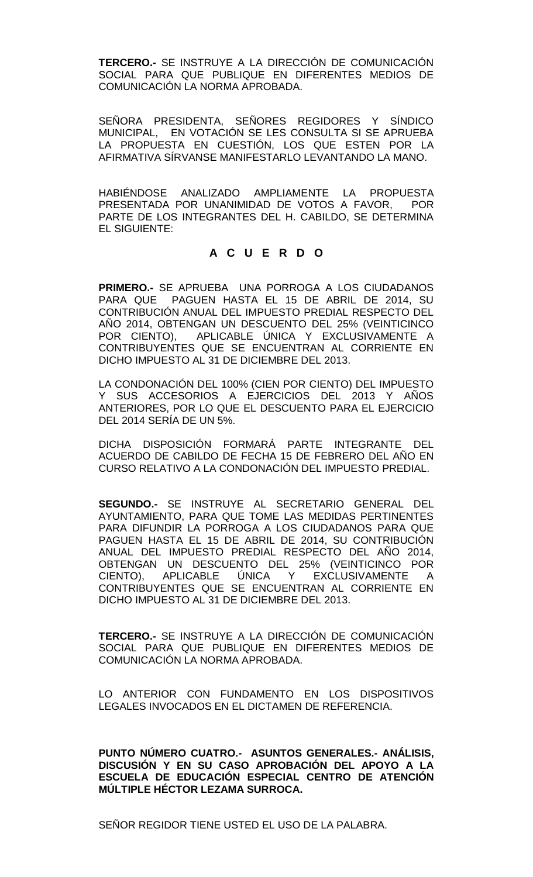**TERCERO.-** SE INSTRUYE A LA DIRECCIÓN DE COMUNICACIÓN SOCIAL PARA QUE PUBLIQUE EN DIFERENTES MEDIOS DE COMUNICACIÓN LA NORMA APROBADA.

SEÑORA PRESIDENTA, SEÑORES REGIDORES Y SÍNDICO MUNICIPAL, EN VOTACIÓN SE LES CONSULTA SI SE APRUEBA LA PROPUESTA EN CUESTIÓN, LOS QUE ESTEN POR LA AFIRMATIVA SÍRVANSE MANIFESTARLO LEVANTANDO LA MANO.

HABIÉNDOSE ANALIZADO AMPLIAMENTE LA PROPUESTA PRESENTADA POR UNANIMIDAD DE VOTOS A FAVOR, POR PARTE DE LOS INTEGRANTES DEL H. CABILDO, SE DETERMINA EL SIGUIENTE:

## **A C U E R D O**

**PRIMERO.-** SE APRUEBA UNA PORROGA A LOS CIUDADANOS PARA QUE PAGUEN HASTA EL 15 DE ABRIL DE 2014, SU CONTRIBUCIÓN ANUAL DEL IMPUESTO PREDIAL RESPECTO DEL AÑO 2014, OBTENGAN UN DESCUENTO DEL 25% (VEINTICINCO POR CIENTO), APLICABLE ÚNICA Y EXCLUSIVAMENTE A CONTRIBUYENTES QUE SE ENCUENTRAN AL CORRIENTE EN DICHO IMPUESTO AL 31 DE DICIEMBRE DEL 2013.

LA CONDONACIÓN DEL 100% (CIEN POR CIENTO) DEL IMPUESTO Y SUS ACCESORIOS A EJERCICIOS DEL 2013 Y AÑOS ANTERIORES, POR LO QUE EL DESCUENTO PARA EL EJERCICIO DEL 2014 SERÍA DE UN 5%.

DICHA DISPOSICIÓN FORMARÁ PARTE INTEGRANTE DEL ACUERDO DE CABILDO DE FECHA 15 DE FEBRERO DEL AÑO EN CURSO RELATIVO A LA CONDONACIÓN DEL IMPUESTO PREDIAL.

**SEGUNDO.-** SE INSTRUYE AL SECRETARIO GENERAL DEL AYUNTAMIENTO, PARA QUE TOME LAS MEDIDAS PERTINENTES PARA DIFUNDIR LA PORROGA A LOS CIUDADANOS PARA QUE PAGUEN HASTA EL 15 DE ABRIL DE 2014, SU CONTRIBUCIÓN ANUAL DEL IMPUESTO PREDIAL RESPECTO DEL AÑO 2014, OBTENGAN UN DESCUENTO DEL 25% (VEINTICINCO POR CIENTO), APLICABLE ÚNICA Y EXCLUSIVAMENTE A CONTRIBUYENTES QUE SE ENCUENTRAN AL CORRIENTE EN DICHO IMPUESTO AL 31 DE DICIEMBRE DEL 2013.

**TERCERO.-** SE INSTRUYE A LA DIRECCIÓN DE COMUNICACIÓN SOCIAL PARA QUE PUBLIQUE EN DIFERENTES MEDIOS DE COMUNICACIÓN LA NORMA APROBADA.

LO ANTERIOR CON FUNDAMENTO EN LOS DISPOSITIVOS LEGALES INVOCADOS EN EL DICTAMEN DE REFERENCIA.

**PUNTO NÚMERO CUATRO.- ASUNTOS GENERALES.- ANÁLISIS, DISCUSIÓN Y EN SU CASO APROBACIÓN DEL APOYO A LA ESCUELA DE EDUCACIÓN ESPECIAL CENTRO DE ATENCIÓN MÚLTIPLE HÉCTOR LEZAMA SURROCA.**

SEÑOR REGIDOR TIENE USTED EL USO DE LA PALABRA.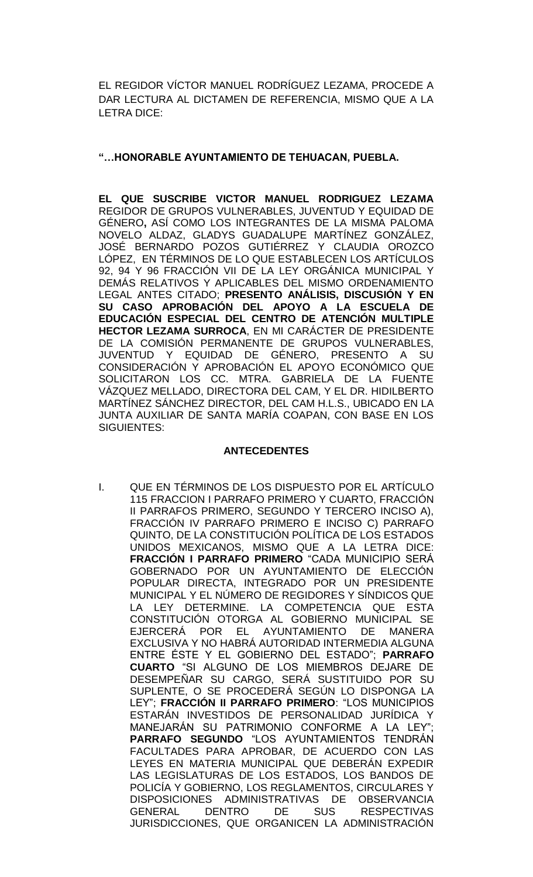EL REGIDOR VÍCTOR MANUEL RODRÍGUEZ LEZAMA, PROCEDE A DAR LECTURA AL DICTAMEN DE REFERENCIA, MISMO QUE A LA LETRA DICE:

## **"…HONORABLE AYUNTAMIENTO DE TEHUACAN, PUEBLA.**

**EL QUE SUSCRIBE VICTOR MANUEL RODRIGUEZ LEZAMA** REGIDOR DE GRUPOS VULNERABLES, JUVENTUD Y EQUIDAD DE GÉNERO**,** ASÍ COMO LOS INTEGRANTES DE LA MISMA PALOMA NOVELO ALDAZ, GLADYS GUADALUPE MARTÍNEZ GONZÁLEZ, JOSÉ BERNARDO POZOS GUTIÉRREZ Y CLAUDIA OROZCO LÓPEZ, EN TÉRMINOS DE LO QUE ESTABLECEN LOS ARTÍCULOS 92, 94 Y 96 FRACCIÓN VII DE LA LEY ORGÁNICA MUNICIPAL Y DEMÁS RELATIVOS Y APLICABLES DEL MISMO ORDENAMIENTO LEGAL ANTES CITADO; **PRESENTO ANÁLISIS, DISCUSIÓN Y EN SU CASO APROBACIÓN DEL APOYO A LA ESCUELA DE EDUCACIÓN ESPECIAL DEL CENTRO DE ATENCIÓN MULTIPLE HECTOR LEZAMA SURROCA**, EN MI CARÁCTER DE PRESIDENTE DE LA COMISIÓN PERMANENTE DE GRUPOS VULNERABLES, JUVENTUD Y EQUIDAD DE GÉNERO, PRESENTO A SU CONSIDERACIÓN Y APROBACIÓN EL APOYO ECONÓMICO QUE SOLICITARON LOS CC. MTRA. GABRIELA DE LA FUENTE VÁZQUEZ MELLADO, DIRECTORA DEL CAM, Y EL DR. HIDILBERTO MARTÍNEZ SÁNCHEZ DIRECTOR, DEL CAM H.L.S., UBICADO EN LA JUNTA AUXILIAR DE SANTA MARÍA COAPAN, CON BASE EN LOS SIGUIENTES:

## **ANTECEDENTES**

I. QUE EN TÉRMINOS DE LOS DISPUESTO POR EL ARTÍCULO 115 FRACCION I PARRAFO PRIMERO Y CUARTO, FRACCIÓN II PARRAFOS PRIMERO, SEGUNDO Y TERCERO INCISO A), FRACCIÓN IV PARRAFO PRIMERO E INCISO C) PARRAFO QUINTO, DE LA CONSTITUCIÓN POLÍTICA DE LOS ESTADOS UNIDOS MEXICANOS, MISMO QUE A LA LETRA DICE: **FRACCIÓN I PARRAFO PRIMERO** "CADA MUNICIPIO SERÁ GOBERNADO POR UN AYUNTAMIENTO DE ELECCIÓN POPULAR DIRECTA, INTEGRADO POR UN PRESIDENTE MUNICIPAL Y EL NÚMERO DE REGIDORES Y SÍNDICOS QUE LA LEY DETERMINE. LA COMPETENCIA QUE ESTA CONSTITUCIÓN OTORGA AL GOBIERNO MUNICIPAL SE EJERCERÁ POR EL AYUNTAMIENTO DE MANERA EXCLUSIVA Y NO HABRÁ AUTORIDAD INTERMEDIA ALGUNA ENTRE ÉSTE Y EL GOBIERNO DEL ESTADO"; **PARRAFO CUARTO** "SI ALGUNO DE LOS MIEMBROS DEJARE DE DESEMPEÑAR SU CARGO, SERÁ SUSTITUIDO POR SU SUPLENTE, O SE PROCEDERÁ SEGÚN LO DISPONGA LA LEY"; **FRACCIÓN II PARRAFO PRIMERO**: "LOS MUNICIPIOS ESTARÁN INVESTIDOS DE PERSONALIDAD JURÍDICA Y MANEJARÁN SU PATRIMONIO CONFORME A LA LEY"; **PARRAFO SEGUNDO** "LOS AYUNTAMIENTOS TENDRÁN FACULTADES PARA APROBAR, DE ACUERDO CON LAS LEYES EN MATERIA MUNICIPAL QUE DEBERÁN EXPEDIR LAS LEGISLATURAS DE LOS ESTADOS, LOS BANDOS DE POLICÍA Y GOBIERNO, LOS REGLAMENTOS, CIRCULARES Y DISPOSICIONES ADMINISTRATIVAS DE OBSERVANCIA GENERAL DENTRO DE SUS RESPECTIVAS JURISDICCIONES, QUE ORGANICEN LA ADMINISTRACIÓN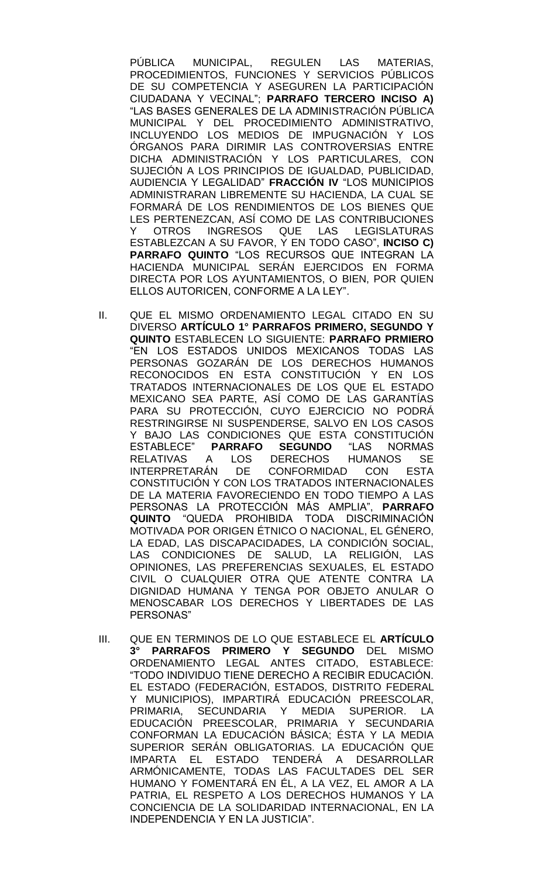PÚBLICA MUNICIPAL, REGULEN LAS MATERIAS, PROCEDIMIENTOS, FUNCIONES Y SERVICIOS PÚBLICOS DE SU COMPETENCIA Y ASEGUREN LA PARTICIPACIÓN CIUDADANA Y VECINAL"; **PARRAFO TERCERO INCISO A)**  "LAS BASES GENERALES DE LA ADMINISTRACIÓN PÚBLICA MUNICIPAL Y DEL PROCEDIMIENTO ADMINISTRATIVO, INCLUYENDO LOS MEDIOS DE IMPUGNACIÓN Y LOS ÓRGANOS PARA DIRIMIR LAS CONTROVERSIAS ENTRE DICHA ADMINISTRACIÓN Y LOS PARTICULARES, CON SUJECIÓN A LOS PRINCIPIOS DE IGUALDAD, PUBLICIDAD, AUDIENCIA Y LEGALIDAD" **FRACCIÓN IV** "LOS MUNICIPIOS ADMINISTRARAN LIBREMENTE SU HACIENDA, LA CUAL SE FORMARÁ DE LOS RENDIMIENTOS DE LOS BIENES QUE LES PERTENEZCAN, ASÍ COMO DE LAS CONTRIBUCIONES Y OTROS INGRESOS QUE LAS LEGISLATURAS ESTABLEZCAN A SU FAVOR, Y EN TODO CASO", **INCISO C) PARRAFO QUINTO** "LOS RECURSOS QUE INTEGRAN LA HACIENDA MUNICIPAL SERÁN EJERCIDOS EN FORMA DIRECTA POR LOS AYUNTAMIENTOS, O BIEN, POR QUIEN ELLOS AUTORICEN, CONFORME A LA LEY".

- II. QUE EL MISMO ORDENAMIENTO LEGAL CITADO EN SU DIVERSO **ARTÍCULO 1° PARRAFOS PRIMERO, SEGUNDO Y QUINTO** ESTABLECEN LO SIGUIENTE: **PARRAFO PRMIERO** "EN LOS ESTADOS UNIDOS MEXICANOS TODAS LAS PERSONAS GOZARÁN DE LOS DERECHOS HUMANOS RECONOCIDOS EN ESTA CONSTITUCIÓN Y EN LOS TRATADOS INTERNACIONALES DE LOS QUE EL ESTADO MEXICANO SEA PARTE, ASÍ COMO DE LAS GARANTÍAS PARA SU PROTECCIÓN, CUYO EJERCICIO NO PODRÁ RESTRINGIRSE NI SUSPENDERSE, SALVO EN LOS CASOS Y BAJO LAS CONDICIONES QUE ESTA CONSTITUCIÓN<br>ESTABLECE" PARRAFO SEGUNDO "LAS NORMAS ESTABLECE" **PARRAFO SEGUNDO** "LAS NORMAS RELATIVAS A LOS DERECHOS HUMANOS SE INTERPRETARÁN DE CONFORMIDAD CON ESTA CONSTITUCIÓN Y CON LOS TRATADOS INTERNACIONALES DE LA MATERIA FAVORECIENDO EN TODO TIEMPO A LAS PERSONAS LA PROTECCIÓN MÁS AMPLIA", **PARRAFO QUINTO** "QUEDA PROHIBIDA TODA DISCRIMINACIÓN MOTIVADA POR ORIGEN ÉTNICO O NACIONAL, EL GÉNERO, LA EDAD, LAS DISCAPACIDADES, LA CONDICIÓN SOCIAL, LAS CONDICIONES DE SALUD, LA RELIGIÓN, LAS OPINIONES, LAS PREFERENCIAS SEXUALES, EL ESTADO CIVIL O CUALQUIER OTRA QUE ATENTE CONTRA LA DIGNIDAD HUMANA Y TENGA POR OBJETO ANULAR O MENOSCABAR LOS DERECHOS Y LIBERTADES DE LAS PERSONAS"
- III. QUE EN TERMINOS DE LO QUE ESTABLECE EL **ARTÍCULO 3° PARRAFOS PRIMERO Y SEGUNDO** DEL MISMO ORDENAMIENTO LEGAL ANTES CITADO, ESTABLECE: "TODO INDIVIDUO TIENE DERECHO A RECIBIR EDUCACIÓN. EL ESTADO (FEDERACIÓN, ESTADOS, DISTRITO FEDERAL Y MUNICIPIOS), IMPARTIRÁ EDUCACIÓN PREESCOLAR, PRIMARIA, SECUNDARIA Y MEDIA SUPERIOR. LA EDUCACIÓN PREESCOLAR, PRIMARIA Y SECUNDARIA CONFORMAN LA EDUCACIÓN BÁSICA; ÉSTA Y LA MEDIA SUPERIOR SERÁN OBLIGATORIAS. LA EDUCACIÓN QUE IMPARTA EL ESTADO TENDERÁ A DESARROLLAR ARMÓNICAMENTE, TODAS LAS FACULTADES DEL SER HUMANO Y FOMENTARÁ EN ÉL, A LA VEZ, EL AMOR A LA PATRIA, EL RESPETO A LOS DERECHOS HUMANOS Y LA CONCIENCIA DE LA SOLIDARIDAD INTERNACIONAL, EN LA INDEPENDENCIA Y EN LA JUSTICIA".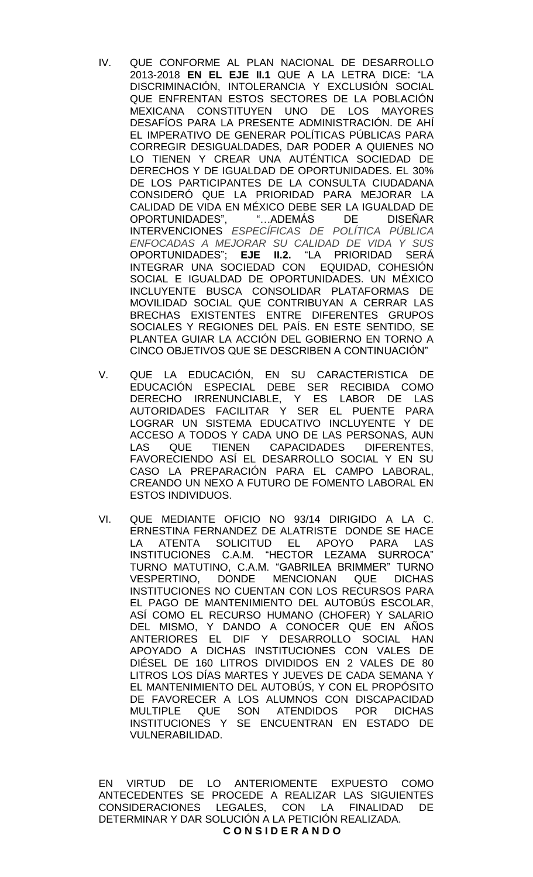- IV. QUE CONFORME AL PLAN NACIONAL DE DESARROLLO 2013-2018 **EN EL EJE II.1** QUE A LA LETRA DICE: "LA DISCRIMINACIÓN, INTOLERANCIA Y EXCLUSIÓN SOCIAL QUE ENFRENTAN ESTOS SECTORES DE LA POBLACIÓN MEXICANA CONSTITUYEN UNO DE LOS MAYORES DESAFÍOS PARA LA PRESENTE ADMINISTRACIÓN. DE AHÍ EL IMPERATIVO DE GENERAR POLÍTICAS PÚBLICAS PARA CORREGIR DESIGUALDADES, DAR PODER A QUIENES NO LO TIENEN Y CREAR UNA AUTÉNTICA SOCIEDAD DE DERECHOS Y DE IGUALDAD DE OPORTUNIDADES. EL 30% DE LOS PARTICIPANTES DE LA CONSULTA CIUDADANA CONSIDERÓ QUE LA PRIORIDAD PARA MEJORAR LA CALIDAD DE VIDA EN MÉXICO DEBE SER LA IGUALDAD DE OPORTUNIDADES", "…ADEMÁS DE DISEÑAR INTERVENCIONES *ESPECÍFICAS DE POLÍTICA PÚBLICA ENFOCADAS A MEJORAR SU CALIDAD DE VIDA Y SUS* OPORTUNIDADES"; **EJE II.2.** "LA PRIORIDAD SERÁ INTEGRAR UNA SOCIEDAD CON EQUIDAD, COHESIÓN SOCIAL E IGUALDAD DE OPORTUNIDADES. UN MÉXICO INCLUYENTE BUSCA CONSOLIDAR PLATAFORMAS DE MOVILIDAD SOCIAL QUE CONTRIBUYAN A CERRAR LAS BRECHAS EXISTENTES ENTRE DIFERENTES GRUPOS SOCIALES Y REGIONES DEL PAÍS. EN ESTE SENTIDO, SE PLANTEA GUIAR LA ACCIÓN DEL GOBIERNO EN TORNO A CINCO OBJETIVOS QUE SE DESCRIBEN A CONTINUACIÓN"
- V. QUE LA EDUCACIÓN, EN SU CARACTERISTICA DE EDUCACIÓN ESPECIAL DEBE SER RECIBIDA COMO DERECHO IRRENUNCIABLE, Y ES LABOR DE LAS AUTORIDADES FACILITAR Y SER EL PUENTE PARA LOGRAR UN SISTEMA EDUCATIVO INCLUYENTE Y DE ACCESO A TODOS Y CADA UNO DE LAS PERSONAS, AUN LAS QUE TIENEN CAPACIDADES DIFERENTES, FAVORECIENDO ASÍ EL DESARROLLO SOCIAL Y EN SU CASO LA PREPARACIÓN PARA EL CAMPO LABORAL, CREANDO UN NEXO A FUTURO DE FOMENTO LABORAL EN ESTOS INDIVIDUOS.
- VI. QUE MEDIANTE OFICIO NO 93/14 DIRIGIDO A LA C. ERNESTINA FERNANDEZ DE ALATRISTE DONDE SE HACE LA ATENTA SOLICITUD EL APOYO PARA LAS INSTITUCIONES C.A.M. "HECTOR LEZAMA SURROCA" TURNO MATUTINO, C.A.M. "GABRILEA BRIMMER" TURNO VESPERTINO, DONDE MENCIONAN QUE DICHAS INSTITUCIONES NO CUENTAN CON LOS RECURSOS PARA EL PAGO DE MANTENIMIENTO DEL AUTOBÚS ESCOLAR, ASÍ COMO EL RECURSO HUMANO (CHOFER) Y SALARIO DEL MISMO, Y DANDO A CONOCER QUE EN AÑOS ANTERIORES EL DIF Y DESARROLLO SOCIAL HAN APOYADO A DICHAS INSTITUCIONES CON VALES DE DIÉSEL DE 160 LITROS DIVIDIDOS EN 2 VALES DE 80 LITROS LOS DÍAS MARTES Y JUEVES DE CADA SEMANA Y EL MANTENIMIENTO DEL AUTOBÚS, Y CON EL PROPÓSITO DE FAVORECER A LOS ALUMNOS CON DISCAPACIDAD MULTIPLE QUE SON ATENDIDOS POR DICHAS INSTITUCIONES Y SE ENCUENTRAN EN ESTADO DE VULNERABILIDAD.

EN VIRTUD DE LO ANTERIOMENTE EXPUESTO COMO ANTECEDENTES SE PROCEDE A REALIZAR LAS SIGUIENTES CONSIDERACIONES LEGALES, CON LA FINALIDAD DE DETERMINAR Y DAR SOLUCIÓN A LA PETICIÓN REALIZADA. **C O N S I D E R A N D O**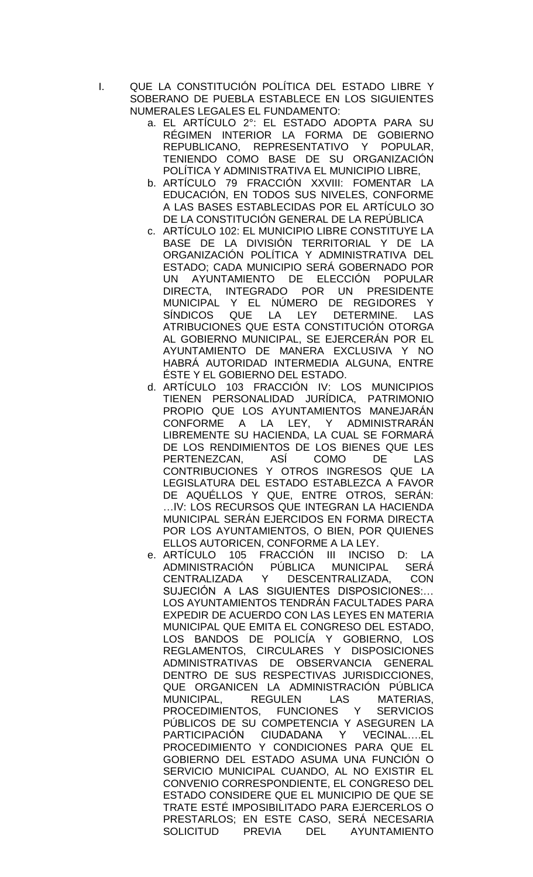- I. QUE LA CONSTITUCIÓN POLÍTICA DEL ESTADO LIBRE Y SOBERANO DE PUEBLA ESTABLECE EN LOS SIGUIENTES NUMERALES LEGALES EL FUNDAMENTO:
	- a. EL ARTÍCULO 2°: EL ESTADO ADOPTA PARA SU RÉGIMEN INTERIOR LA FORMA DE GOBIERNO REPUBLICANO, REPRESENTATIVO Y POPULAR, TENIENDO COMO BASE DE SU ORGANIZACIÓN POLÍTICA Y ADMINISTRATIVA EL MUNICIPIO LIBRE,
	- b. ARTÍCULO 79 FRACCIÓN XXVIII: FOMENTAR LA EDUCACIÓN, EN TODOS SUS NIVELES, CONFORME A LAS BASES ESTABLECIDAS POR EL ARTÍCULO 3O DE LA CONSTITUCIÓN GENERAL DE LA REPÚBLICA
	- c. ARTÍCULO 102: EL MUNICIPIO LIBRE CONSTITUYE LA BASE DE LA DIVISIÓN TERRITORIAL Y DE LA ORGANIZACIÓN POLÍTICA Y ADMINISTRATIVA DEL ESTADO; CADA MUNICIPIO SERÁ GOBERNADO POR UN AYUNTAMIENTO DE ELECCIÓN POPULAR DIRECTA, INTEGRADO POR UN PRESIDENTE MUNICIPAL Y EL NÚMERO DE REGIDORES Y SÍNDICOS QUE LA LEY DETERMINE. LAS ATRIBUCIONES QUE ESTA CONSTITUCIÓN OTORGA AL GOBIERNO MUNICIPAL, SE EJERCERÁN POR EL AYUNTAMIENTO DE MANERA EXCLUSIVA Y NO HABRÁ AUTORIDAD INTERMEDIA ALGUNA, ENTRE ÉSTE Y EL GOBIERNO DEL ESTADO.
	- d. ARTÍCULO 103 FRACCIÓN IV: LOS MUNICIPIOS TIENEN PERSONALIDAD JURÍDICA, PATRIMONIO PROPIO QUE LOS AYUNTAMIENTOS MANEJARÁN CONFORME A LA LEY, Y ADMINISTRARÁN LIBREMENTE SU HACIENDA, LA CUAL SE FORMARÁ DE LOS RENDIMIENTOS DE LOS BIENES QUE LES PERTENEZCAN, ASÍ COMO DE LAS CONTRIBUCIONES Y OTROS INGRESOS QUE LA LEGISLATURA DEL ESTADO ESTABLEZCA A FAVOR DE AQUÉLLOS Y QUE, ENTRE OTROS, SERÁN: …IV: LOS RECURSOS QUE INTEGRAN LA HACIENDA MUNICIPAL SERÁN EJERCIDOS EN FORMA DIRECTA POR LOS AYUNTAMIENTOS, O BIEN, POR QUIENES ELLOS AUTORICEN, CONFORME A LA LEY.
	- e. ARTÍCULO 105 FRACCIÓN III INCISO D: LA ADMINISTRACIÓN PÚBLICA MUNICIPAL SERÁ CENTRALIZADA Y DESCENTRALIZADA, CON SUJECIÓN A LAS SIGUIENTES DISPOSICIONES:… LOS AYUNTAMIENTOS TENDRÁN FACULTADES PARA EXPEDIR DE ACUERDO CON LAS LEYES EN MATERIA MUNICIPAL QUE EMITA EL CONGRESO DEL ESTADO, LOS BANDOS DE POLICÍA Y GOBIERNO, LOS REGLAMENTOS, CIRCULARES Y DISPOSICIONES ADMINISTRATIVAS DE OBSERVANCIA GENERAL DENTRO DE SUS RESPECTIVAS JURISDICCIONES, QUE ORGANICEN LA ADMINISTRACIÓN PÚBLICA MUNICIPAL, REGULEN LAS MATERIAS, PROCEDIMIENTOS, FUNCIONES Y SERVICIOS PÚBLICOS DE SU COMPETENCIA Y ASEGUREN LA PARTICIPACIÓN CIUDADANA Y VECINAL….EL PROCEDIMIENTO Y CONDICIONES PARA QUE EL GOBIERNO DEL ESTADO ASUMA UNA FUNCIÓN O SERVICIO MUNICIPAL CUANDO, AL NO EXISTIR EL CONVENIO CORRESPONDIENTE, EL CONGRESO DEL ESTADO CONSIDERE QUE EL MUNICIPIO DE QUE SE TRATE ESTÉ IMPOSIBILITADO PARA EJERCERLOS O PRESTARLOS; EN ESTE CASO, SERÁ NECESARIA SOLICITUD PREVIA DEL AYUNTAMIENTO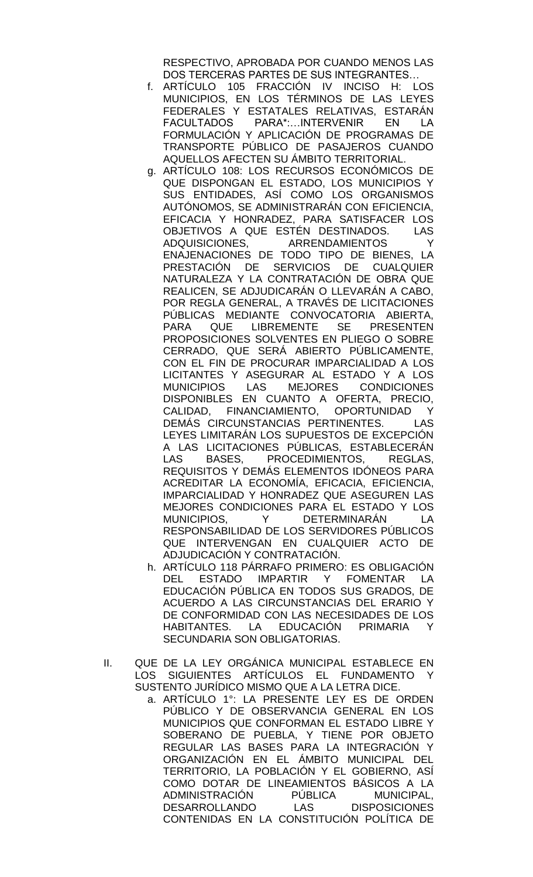RESPECTIVO, APROBADA POR CUANDO MENOS LAS DOS TERCERAS PARTES DE SUS INTEGRANTES…

- f. ARTÍCULO 105 FRACCIÓN IV INCISO H: LOS MUNICIPIOS, EN LOS TÉRMINOS DE LAS LEYES FEDERALES Y ESTATALES RELATIVAS, ESTARÁN FACULTADOS PARA\*:…INTERVENIR EN LA FORMULACIÓN Y APLICACIÓN DE PROGRAMAS DE TRANSPORTE PÚBLICO DE PASAJEROS CUANDO AQUELLOS AFECTEN SU ÁMBITO TERRITORIAL.
- g. ARTÍCULO 108: LOS RECURSOS ECONÓMICOS DE QUE DISPONGAN EL ESTADO, LOS MUNICIPIOS Y SUS ENTIDADES, ASÍ COMO LOS ORGANISMOS AUTÓNOMOS, SE ADMINISTRARÁN CON EFICIENCIA, EFICACIA Y HONRADEZ, PARA SATISFACER LOS OBJETIVOS A QUE ESTÉN DESTINADOS. LAS ADQUISICIONES, ARRENDAMIENTOS Y ENAJENACIONES DE TODO TIPO DE BIENES, LA PRESTACIÓN DE SERVICIOS DE CUALQUIER NATURALEZA Y LA CONTRATACIÓN DE OBRA QUE REALICEN, SE ADJUDICARÁN O LLEVARÁN A CABO, POR REGLA GENERAL, A TRAVÉS DE LICITACIONES PÚBLICAS MEDIANTE CONVOCATORIA ABIERTA, PARA QUE LIBREMENTE SE PRESENTEN PROPOSICIONES SOLVENTES EN PLIEGO O SOBRE CERRADO, QUE SERÁ ABIERTO PÚBLICAMENTE, CON EL FIN DE PROCURAR IMPARCIALIDAD A LOS LICITANTES Y ASEGURAR AL ESTADO Y A LOS<br>MUNICIPIOS LAS MEJORES CONDICIONES MUNICIPIOS LAS MEJORES CONDICIONES DISPONIBLES EN CUANTO A OFERTA, PRECIO, CALIDAD, FINANCIAMIENTO, OPORTUNIDAD Y DEMÁS CIRCUNSTANCIAS PERTINENTES. LAS LEYES LIMITARÁN LOS SUPUESTOS DE EXCEPCIÓN A LAS LICITACIONES PÚBLICAS, ESTABLECERÁN LAS BASES, PROCEDIMIENTOS, REGLAS, REQUISITOS Y DEMÁS ELEMENTOS IDÓNEOS PARA ACREDITAR LA ECONOMÍA, EFICACIA, EFICIENCIA, IMPARCIALIDAD Y HONRADEZ QUE ASEGUREN LAS MEJORES CONDICIONES PARA EL ESTADO Y LOS<br>MUNICIPIOS, Y DETERMINARÁN LA MUNICIPIOS, Y DETERMINARÁN LA RESPONSABILIDAD DE LOS SERVIDORES PÚBLICOS QUE INTERVENGAN EN CUALQUIER ACTO DE ADJUDICACIÓN Y CONTRATACIÓN.
- h. ARTÍCULO 118 PÁRRAFO PRIMERO: ES OBLIGACIÓN DEL ESTADO IMPARTIR Y FOMENTAR LA EDUCACIÓN PÚBLICA EN TODOS SUS GRADOS, DE ACUERDO A LAS CIRCUNSTANCIAS DEL ERARIO Y DE CONFORMIDAD CON LAS NECESIDADES DE LOS HABITANTES. LA EDUCACIÓN PRIMARIA Y SECUNDARIA SON OBLIGATORIAS.
- II. QUE DE LA LEY ORGÁNICA MUNICIPAL ESTABLECE EN LOS SIGUIENTES ARTÍCULOS EL FUNDAMENTO SUSTENTO JURÍDICO MISMO QUE A LA LETRA DICE.
	- a. ARTÍCULO 1°: LA PRESENTE LEY ES DE ORDEN PÚBLICO Y DE OBSERVANCIA GENERAL EN LOS MUNICIPIOS QUE CONFORMAN EL ESTADO LIBRE Y SOBERANO DE PUEBLA, Y TIENE POR OBJETO REGULAR LAS BASES PARA LA INTEGRACIÓN Y ORGANIZACIÓN EN EL ÁMBITO MUNICIPAL DEL TERRITORIO, LA POBLACIÓN Y EL GOBIERNO, ASÍ COMO DOTAR DE LINEAMIENTOS BÁSICOS A LA ADMINISTRACIÓN PÚBLICA MUNICIPAL, DESARROLLANDO LAS DISPOSICIONES CONTENIDAS EN LA CONSTITUCIÓN POLÍTICA DE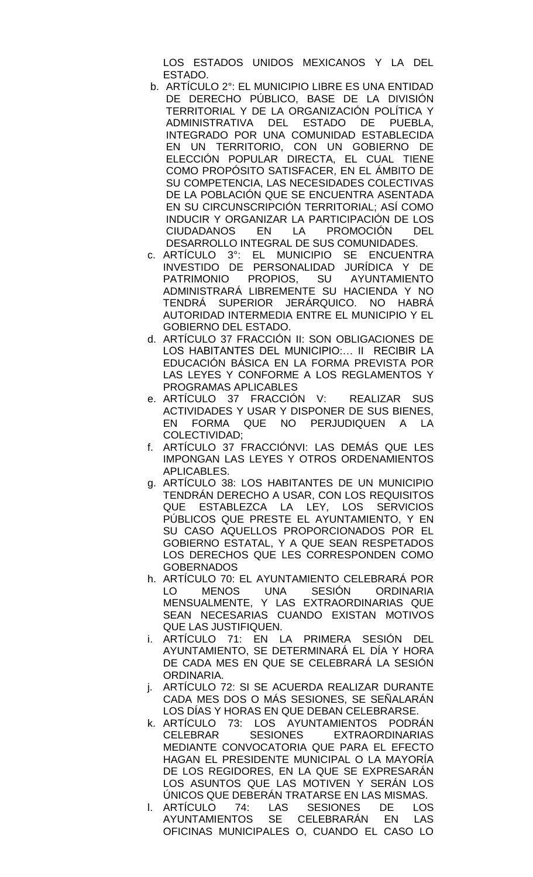LOS ESTADOS UNIDOS MEXICANOS Y LA DEL ESTADO.

- b. ARTÍCULO 2°: EL MUNICIPIO LIBRE ES UNA ENTIDAD DE DERECHO PÚBLICO, BASE DE LA DIVISIÓN TERRITORIAL Y DE LA ORGANIZACIÓN POLÍTICA Y ADMINISTRATIVA DEL ESTADO DE PUEBLA, INTEGRADO POR UNA COMUNIDAD ESTABLECIDA EN UN TERRITORIO, CON UN GOBIERNO DE ELECCIÓN POPULAR DIRECTA, EL CUAL TIENE COMO PROPÓSITO SATISFACER, EN EL ÁMBITO DE SU COMPETENCIA, LAS NECESIDADES COLECTIVAS DE LA POBLACIÓN QUE SE ENCUENTRA ASENTADA EN SU CIRCUNSCRIPCIÓN TERRITORIAL; ASÍ COMO INDUCIR Y ORGANIZAR LA PARTICIPACIÓN DE LOS CIUDADANOS EN LA PROMOCIÓN DEL DESARROLLO INTEGRAL DE SUS COMUNIDADES.
- c. ARTÍCULO 3°: EL MUNICIPIO SE ENCUENTRA INVESTIDO DE PERSONALIDAD JURÍDICA Y DE PATRIMONIO PROPIOS, SU AYUNTAMIENTO ADMINISTRARÁ LIBREMENTE SU HACIENDA Y NO TENDRÁ SUPERIOR JERÁRQUICO. NO HABRÁ AUTORIDAD INTERMEDIA ENTRE EL MUNICIPIO Y EL GOBIERNO DEL ESTADO.
- d. ARTÍCULO 37 FRACCIÓN II: SON OBLIGACIONES DE LOS HABITANTES DEL MUNICIPIO:… II RECIBIR LA EDUCACIÓN BÁSICA EN LA FORMA PREVISTA POR LAS LEYES Y CONFORME A LOS REGLAMENTOS Y PROGRAMAS APLICABLES
- e. ARTÍCULO 37 FRACCIÓN V: REALIZAR SUS ACTIVIDADES Y USAR Y DISPONER DE SUS BIENES, EN FORMA QUE NO PERJUDIQUEN A LA COLECTIVIDAD;
- f. ARTÍCULO 37 FRACCIÓNVI: LAS DEMÁS QUE LES IMPONGAN LAS LEYES Y OTROS ORDENAMIENTOS APLICABLES.
- g. ARTÍCULO 38: LOS HABITANTES DE UN MUNICIPIO TENDRÁN DERECHO A USAR, CON LOS REQUISITOS QUE ESTABLEZCA LA LEY, LOS SERVICIOS PÚBLICOS QUE PRESTE EL AYUNTAMIENTO, Y EN SU CASO AQUELLOS PROPORCIONADOS POR EL GOBIERNO ESTATAL, Y A QUE SEAN RESPETADOS LOS DERECHOS QUE LES CORRESPONDEN COMO **GOBERNADOS**
- h. ARTÍCULO 70: EL AYUNTAMIENTO CELEBRARÁ POR LO MENOS UNA SESIÓN ORDINARIA MENSUALMENTE, Y LAS EXTRAORDINARIAS QUE SEAN NECESARIAS CUANDO EXISTAN MOTIVOS QUE LAS JUSTIFIQUEN.
- i. ARTÍCULO 71: EN LA PRIMERA SESIÓN DEL AYUNTAMIENTO, SE DETERMINARÁ EL DÍA Y HORA DE CADA MES EN QUE SE CELEBRARÁ LA SESIÓN ORDINARIA.
- j. ARTÍCULO 72: SI SE ACUERDA REALIZAR DURANTE CADA MES DOS O MÁS SESIONES, SE SEÑALARÁN LOS DÍAS Y HORAS EN QUE DEBAN CELEBRARSE.
- k. ARTÍCULO 73: LOS AYUNTAMIENTOS PODRÁN CELEBRAR SESIONES EXTRAORDINARIAS MEDIANTE CONVOCATORIA QUE PARA EL EFECTO HAGAN EL PRESIDENTE MUNICIPAL O LA MAYORÍA DE LOS REGIDORES, EN LA QUE SE EXPRESARÁN LOS ASUNTOS QUE LAS MOTIVEN Y SERÁN LOS ÚNICOS QUE DEBERÁN TRATARSE EN LAS MISMAS.
- l. ARTÍCULO 74: LAS SESIONES DE LOS AYUNTAMIENTOS SE CELEBRARÁN EN LAS OFICINAS MUNICIPALES O, CUANDO EL CASO LO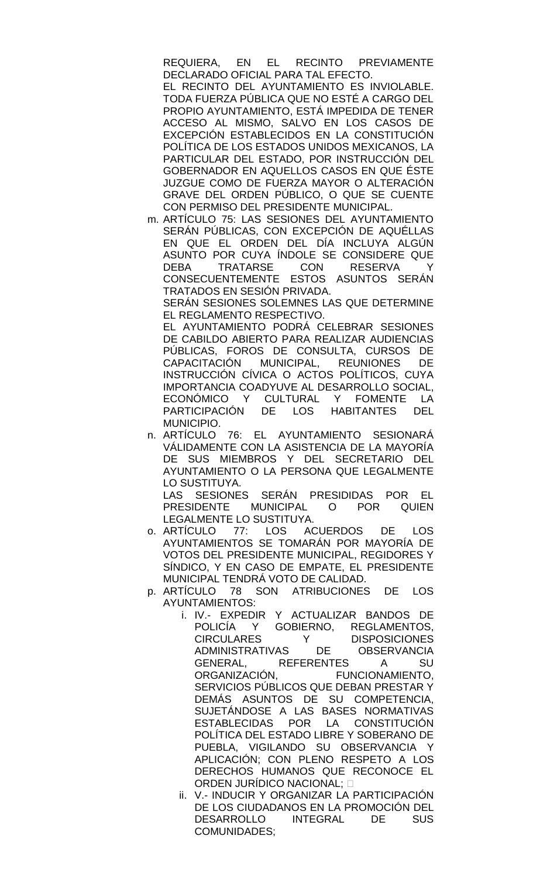REQUIERA, EN EL RECINTO PREVIAMENTE DECLARADO OFICIAL PARA TAL EFECTO.

EL RECINTO DEL AYUNTAMIENTO ES INVIOLABLE. TODA FUERZA PÚBLICA QUE NO ESTÉ A CARGO DEL PROPIO AYUNTAMIENTO, ESTÁ IMPEDIDA DE TENER ACCESO AL MISMO, SALVO EN LOS CASOS DE EXCEPCIÓN ESTABLECIDOS EN LA CONSTITUCIÓN POLÍTICA DE LOS ESTADOS UNIDOS MEXICANOS, LA PARTICULAR DEL ESTADO, POR INSTRUCCIÓN DEL GOBERNADOR EN AQUELLOS CASOS EN QUE ÉSTE JUZGUE COMO DE FUERZA MAYOR O ALTERACIÓN GRAVE DEL ORDEN PÚBLICO, O QUE SE CUENTE CON PERMISO DEL PRESIDENTE MUNICIPAL.

m. ARTÍCULO 75: LAS SESIONES DEL AYUNTAMIENTO SERÁN PÚBLICAS, CON EXCEPCIÓN DE AQUÉLLAS EN QUE EL ORDEN DEL DÍA INCLUYA ALGÚN ASUNTO POR CUYA ÍNDOLE SE CONSIDERE QUE DEBA TRATARSE CON RESERVA Y CONSECUENTEMENTE ESTOS ASUNTOS SERÁN TRATADOS EN SESIÓN PRIVADA.

SERÁN SESIONES SOLEMNES LAS QUE DETERMINE EL REGLAMENTO RESPECTIVO.

EL AYUNTAMIENTO PODRÁ CELEBRAR SESIONES DE CABILDO ABIERTO PARA REALIZAR AUDIENCIAS PÚBLICAS, FOROS DE CONSULTA, CURSOS DE CAPACITACIÓN MUNICIPAL, REUNIONES DE INSTRUCCIÓN CÍVICA O ACTOS POLÍTICOS, CUYA IMPORTANCIA COADYUVE AL DESARROLLO SOCIAL, ECONÓMICO Y CULTURAL Y FOMENTE LA PARTICIPACIÓN DE LOS HABITANTES DEL MUNICIPIO.

n. ARTÍCULO 76: EL AYUNTAMIENTO SESIONARÁ VÁLIDAMENTE CON LA ASISTENCIA DE LA MAYORÍA DE SUS MIEMBROS Y DEL SECRETARIO DEL AYUNTAMIENTO O LA PERSONA QUE LEGALMENTE LO SUSTITUYA.

LAS SESIONES SERÁN PRESIDIDAS POR EL PRESIDENTE MUNICIPAL O POR QUIEN LEGALMENTE LO SUSTITUYA.

- o. ARTÍCULO 77: LOS ACUERDOS DE LOS AYUNTAMIENTOS SE TOMARÁN POR MAYORÍA DE VOTOS DEL PRESIDENTE MUNICIPAL, REGIDORES Y SÍNDICO, Y EN CASO DE EMPATE, EL PRESIDENTE MUNICIPAL TENDRÁ VOTO DE CALIDAD.
- p. ARTÍCULO 78 SON ATRIBUCIONES DE LOS AYUNTAMIENTOS:
	- i. IV.- EXPEDIR Y ACTUALIZAR BANDOS DE POLICÍA Y GOBIERNO, REGLAMENTOS, CIRCULARES Y DISPOSICIONES ADMINISTRATIVAS DE OBSERVANCIA GENERAL, REFERENTES A SU ORGANIZACIÓN, FUNCIONAMIENTO, SERVICIOS PÚBLICOS QUE DEBAN PRESTAR Y DEMÁS ASUNTOS DE SU COMPETENCIA, SUJETÁNDOSE A LAS BASES NORMATIVAS ESTABLECIDAS POR LA CONSTITUCIÓN POLÍTICA DEL ESTADO LIBRE Y SOBERANO DE PUEBLA, VIGILANDO SU OBSERVANCIA Y APLICACIÓN; CON PLENO RESPETO A LOS DERECHOS HUMANOS QUE RECONOCE EL ORDEN JURÍDICO NACIONAL;
	- ii. V.- INDUCIR Y ORGANIZAR LA PARTICIPACIÓN DE LOS CIUDADANOS EN LA PROMOCIÓN DEL DESARROLLO INTEGRAL DE SUS COMUNIDADES;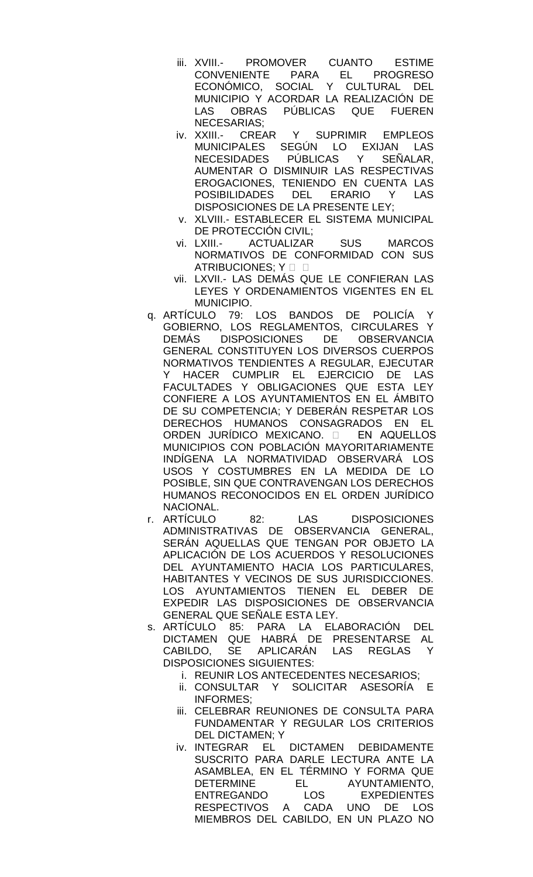- iii. XVIII.- PROMOVER CUANTO ESTIME CONVENIENTE PARA EL PROGRESO ECONÓMICO, SOCIAL Y CULTURAL DEL MUNICIPIO Y ACORDAR LA REALIZACIÓN DE LAS OBRAS PÚBLICAS QUE FUEREN NECESARIAS;
- iv. XXIII.- CREAR Y SUPRIMIR EMPLEOS MUNICIPALES SEGÚN LO EXIJAN LAS NECESIDADES PUBLICAS Y SENALAR, AUMENTAR O DISMINUIR LAS RESPECTIVAS EROGACIONES, TENIENDO EN CUENTA LAS POSIBILIDADES DEL ERARIO Y LAS DISPOSICIONES DE LA PRESENTE LEY;
- v. XLVIII.- ESTABLECER EL SISTEMA MUNICIPAL DE PROTECCIÓN CIVIL;
- vi. LXIII.- ACTUALIZAR SUS MARCOS NORMATIVOS DE CONFORMIDAD CON SUS ATRIBUCIONES: Y O
- vii. LXVII.- LAS DEMÁS QUE LE CONFIERAN LAS LEYES Y ORDENAMIENTOS VIGENTES EN EL MUNICIPIO.
- q. ARTÍCULO 79: LOS BANDOS DE POLICÍA Y GOBIERNO, LOS REGLAMENTOS, CIRCULARES Y DEMÁS DISPOSICIONES DE OBSERVANCIA GENERAL CONSTITUYEN LOS DIVERSOS CUERPOS NORMATIVOS TENDIENTES A REGULAR, EJECUTAR Y HACER CUMPLIR EL EJERCICIO DE LAS FACULTADES Y OBLIGACIONES QUE ESTA LEY CONFIERE A LOS AYUNTAMIENTOS EN EL ÁMBITO DE SU COMPETENCIA; Y DEBERÁN RESPETAR LOS DERECHOS HUMANOS CONSAGRADOS EN EL ORDEN JURÍDICO MEXICANO. O EN AQUELLOS MUNICIPIOS CON POBLACIÓN MAYORITARIAMENTE INDÍGENA LA NORMATIVIDAD OBSERVARÁ LOS USOS Y COSTUMBRES EN LA MEDIDA DE LO POSIBLE, SIN QUE CONTRAVENGAN LOS DERECHOS HUMANOS RECONOCIDOS EN EL ORDEN JURÍDICO NACIONAL.
- r. ARTÍCULO 82: LAS DISPOSICIONES ADMINISTRATIVAS DE OBSERVANCIA GENERAL, SERÁN AQUELLAS QUE TENGAN POR OBJETO LA APLICACIÓN DE LOS ACUERDOS Y RESOLUCIONES DEL AYUNTAMIENTO HACIA LOS PARTICULARES, HABITANTES Y VECINOS DE SUS JURISDICCIONES. LOS AYUNTAMIENTOS TIENEN EL DEBER DE EXPEDIR LAS DISPOSICIONES DE OBSERVANCIA GENERAL QUE SEÑALE ESTA LEY.
- s. ARTÍCULO 85: PARA LA ELABORACIÓN DEL DICTAMEN QUE HABRÁ DE PRESENTARSE AL CABILDO, SE APLICARÁN LAS REGLAS Y DISPOSICIONES SIGUIENTES:
	- i. REUNIR LOS ANTECEDENTES NECESARIOS;
	- ii. CONSULTAR Y SOLICITAR ASESORÍA E INFORMES;
	- iii. CELEBRAR REUNIONES DE CONSULTA PARA FUNDAMENTAR Y REGULAR LOS CRITERIOS DEL DICTAMEN; Y
	- iv. INTEGRAR EL DICTAMEN DEBIDAMENTE SUSCRITO PARA DARLE LECTURA ANTE LA ASAMBLEA, EN EL TÉRMINO Y FORMA QUE DETERMINE EL AYUNTAMIENTO, ENTREGANDO LOS EXPEDIENTES RESPECTIVOS A CADA UNO DE LOS MIEMBROS DEL CABILDO, EN UN PLAZO NO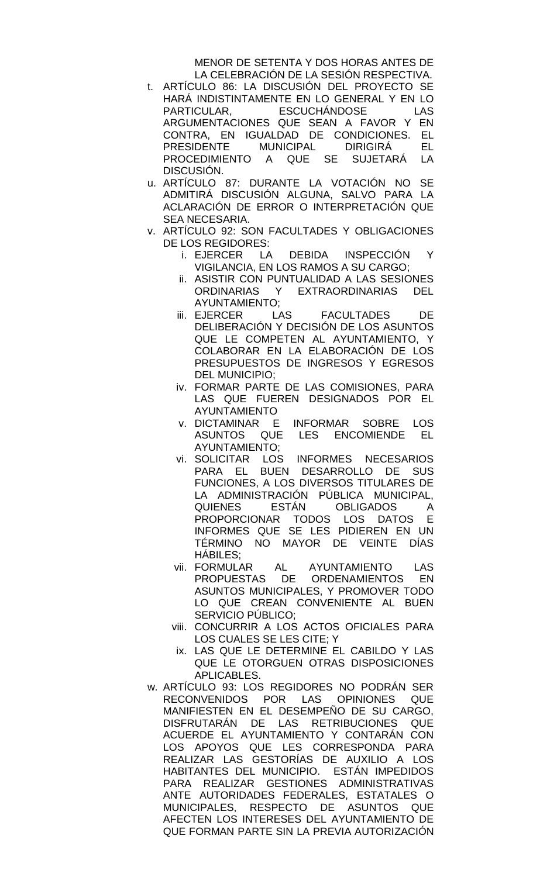MENOR DE SETENTA Y DOS HORAS ANTES DE LA CELEBRACIÓN DE LA SESIÓN RESPECTIVA.

- t. ARTÍCULO 86: LA DISCUSIÓN DEL PROYECTO SE HARÁ INDISTINTAMENTE EN LO GENERAL Y EN LO PARTICULAR, ESCUCHÁNDOSE LAS ARGUMENTACIONES QUE SEAN A FAVOR Y EN CONTRA, EN IGUALDAD DE CONDICIONES. EL PRESIDENTE MUNICIPAL DIRIGIRÁ EL<br>PROCEDIMIENTO A QUE SE SUJETARÁ LA PROCEDIMIENTO A QUE SE SUJETARÁ DISCUSIÓN.
- u. ARTÍCULO 87: DURANTE LA VOTACIÓN NO SE ADMITIRÁ DISCUSIÓN ALGUNA, SALVO PARA LA ACLARACIÓN DE ERROR O INTERPRETACIÓN QUE SEA NECESARIA.
- v. ARTÍCULO 92: SON FACULTADES Y OBLIGACIONES DE LOS REGIDORES:
	- i. EJERCER LA DEBIDA INSPECCIÓN Y VIGILANCIA, EN LOS RAMOS A SU CARGO;
	- ii. ASISTIR CON PUNTUALIDAD A LAS SESIONES ORDINARIAS Y EXTRAORDINARIAS DEL AYUNTAMIENTO;
	- iii. EJERCER LAS FACULTADES DE DELIBERACIÓN Y DECISIÓN DE LOS ASUNTOS QUE LE COMPETEN AL AYUNTAMIENTO, Y COLABORAR EN LA ELABORACIÓN DE LOS PRESUPUESTOS DE INGRESOS Y EGRESOS DEL MUNICIPIO;
	- iv. FORMAR PARTE DE LAS COMISIONES, PARA LAS QUE FUEREN DESIGNADOS POR EL AYUNTAMIENTO
	- v. DICTAMINAR E INFORMAR SOBRE LOS ASUNTOS QUE LES ENCOMIENDE EL AYUNTAMIENTO;
	- vi. SOLICITAR LOS INFORMES NECESARIOS PARA EL BUEN DESARROLLO DE SUS FUNCIONES, A LOS DIVERSOS TITULARES DE LA ADMINISTRACIÓN PÚBLICA MUNICIPAL, QUIENES ESTÁN OBLIGADOS A PROPORCIONAR TODOS LOS DATOS E INFORMES QUE SE LES PIDIEREN EN UN TÉRMINO NO MAYOR DE VEINTE DÍAS HÁBILES;
	- vii. FORMULAR AL AYUNTAMIENTO LAS PROPUESTAS DE ORDENAMIENTOS EN ASUNTOS MUNICIPALES, Y PROMOVER TODO LO QUE CREAN CONVENIENTE AL BUEN SERVICIO PÚBLICO;
	- viii. CONCURRIR A LOS ACTOS OFICIALES PARA LOS CUALES SE LES CITE; Y
	- ix. LAS QUE LE DETERMINE EL CABILDO Y LAS QUE LE OTORGUEN OTRAS DISPOSICIONES APLICABLES.
- w. ARTÍCULO 93: LOS REGIDORES NO PODRÁN SER RECONVENIDOS POR LAS OPINIONES QUE MANIFIESTEN EN EL DESEMPEÑO DE SU CARGO, DISFRUTARÁN DE LAS RETRIBUCIONES QUE ACUERDE EL AYUNTAMIENTO Y CONTARÁN CON LOS APOYOS QUE LES CORRESPONDA PARA REALIZAR LAS GESTORÍAS DE AUXILIO A LOS HABITANTES DEL MUNICIPIO. ESTÁN IMPEDIDOS PARA REALIZAR GESTIONES ADMINISTRATIVAS ANTE AUTORIDADES FEDERALES, ESTATALES O<br>MUNICIPALES, RESPECTO DE ASUNTOS QUE RESPECTO DE ASUNTOS QUE AFECTEN LOS INTERESES DEL AYUNTAMIENTO DE QUE FORMAN PARTE SIN LA PREVIA AUTORIZACIÓN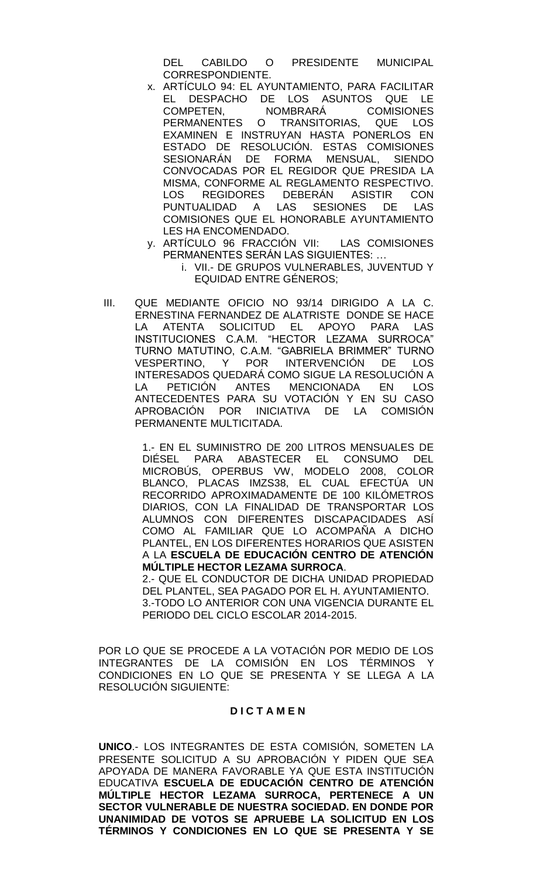DEL CABILDO O PRESIDENTE MUNICIPAL CORRESPONDIENTE.

- x. ARTÍCULO 94: EL AYUNTAMIENTO, PARA FACILITAR EL DESPACHO DE LOS ASUNTOS QUE LE COMPETEN, NOMBRARÁ COMISIONES PERMANENTES O TRANSITORIAS, QUE LOS EXAMINEN E INSTRUYAN HASTA PONERLOS EN ESTADO DE RESOLUCIÓN. ESTAS COMISIONES SESIONARÁN DE FORMA MENSUAL, SIENDO CONVOCADAS POR EL REGIDOR QUE PRESIDA LA MISMA, CONFORME AL REGLAMENTO RESPECTIVO. LOS REGIDORES DEBERÁN ASISTIR CON PUNTUALIDAD A LAS SESIONES DE LAS COMISIONES QUE EL HONORABLE AYUNTAMIENTO LES HA ENCOMENDADO.
- y. ARTÍCULO 96 FRACCIÓN VII: LAS COMISIONES PERMANENTES SERÁN LAS SIGUIENTES: …
	- i. VII.- DE GRUPOS VULNERABLES, JUVENTUD Y EQUIDAD ENTRE GÉNEROS;
- III. QUE MEDIANTE OFICIO NO 93/14 DIRIGIDO A LA C. ERNESTINA FERNANDEZ DE ALATRISTE DONDE SE HACE LA ATENTA SOLICITUD EL APOYO PARA LAS INSTITUCIONES C.A.M. "HECTOR LEZAMA SURROCA" TURNO MATUTINO, C.A.M. "GABRIELA BRIMMER" TURNO VESPERTINO, Y POR INTERVENCIÓN DE LOS INTERESADOS QUEDARÁ COMO SIGUE LA RESOLUCIÓN A LA PETICIÓN ANTES MENCIONADA EN LOS ANTECEDENTES PARA SU VOTACIÓN Y EN SU CASO APROBACIÓN POR INICIATIVA DE LA COMISIÓN PERMANENTE MULTICITADA.

1.- EN EL SUMINISTRO DE 200 LITROS MENSUALES DE DIÉSEL PARA ABASTECER EL CONSUMO DEL MICROBÚS, OPERBUS VW, MODELO 2008, COLOR BLANCO, PLACAS IMZS38, EL CUAL EFECTÚA UN RECORRIDO APROXIMADAMENTE DE 100 KILÓMETROS DIARIOS, CON LA FINALIDAD DE TRANSPORTAR LOS ALUMNOS CON DIFERENTES DISCAPACIDADES ASÍ COMO AL FAMILIAR QUE LO ACOMPAÑA A DICHO PLANTEL, EN LOS DIFERENTES HORARIOS QUE ASISTEN A LA **ESCUELA DE EDUCACIÓN CENTRO DE ATENCIÓN MÚLTIPLE HECTOR LEZAMA SURROCA**.

2.- QUE EL CONDUCTOR DE DICHA UNIDAD PROPIEDAD DEL PLANTEL, SEA PAGADO POR EL H. AYUNTAMIENTO. 3.-TODO LO ANTERIOR CON UNA VIGENCIA DURANTE EL PERIODO DEL CICLO ESCOLAR 2014-2015.

POR LO QUE SE PROCEDE A LA VOTACIÓN POR MEDIO DE LOS INTEGRANTES DE LA COMISIÓN EN LOS TÉRMINOS Y CONDICIONES EN LO QUE SE PRESENTA Y SE LLEGA A LA RESOLUCIÓN SIGUIENTE:

#### **D I C T A M E N**

**UNICO**.- LOS INTEGRANTES DE ESTA COMISIÓN, SOMETEN LA PRESENTE SOLICITUD A SU APROBACIÓN Y PIDEN QUE SEA APOYADA DE MANERA FAVORABLE YA QUE ESTA INSTITUCIÓN EDUCATIVA **ESCUELA DE EDUCACIÓN CENTRO DE ATENCIÓN MÚLTIPLE HECTOR LEZAMA SURROCA, PERTENECE A UN SECTOR VULNERABLE DE NUESTRA SOCIEDAD. EN DONDE POR UNANIMIDAD DE VOTOS SE APRUEBE LA SOLICITUD EN LOS TÉRMINOS Y CONDICIONES EN LO QUE SE PRESENTA Y SE**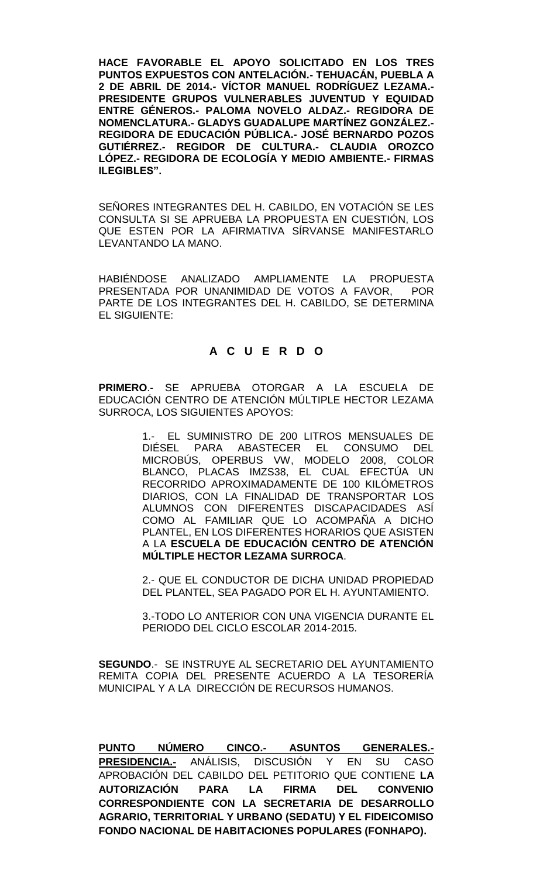**HACE FAVORABLE EL APOYO SOLICITADO EN LOS TRES PUNTOS EXPUESTOS CON ANTELACIÓN.- TEHUACÁN, PUEBLA A 2 DE ABRIL DE 2014.- VÍCTOR MANUEL RODRÍGUEZ LEZAMA.- PRESIDENTE GRUPOS VULNERABLES JUVENTUD Y EQUIDAD ENTRE GÉNEROS.- PALOMA NOVELO ALDAZ.- REGIDORA DE NOMENCLATURA.- GLADYS GUADALUPE MARTÍNEZ GONZÁLEZ.- REGIDORA DE EDUCACIÓN PÚBLICA.- JOSÉ BERNARDO POZOS GUTIÉRREZ.- REGIDOR DE CULTURA.- CLAUDIA OROZCO LÓPEZ.- REGIDORA DE ECOLOGÍA Y MEDIO AMBIENTE.- FIRMAS ILEGIBLES".**

SEÑORES INTEGRANTES DEL H. CABILDO, EN VOTACIÓN SE LES CONSULTA SI SE APRUEBA LA PROPUESTA EN CUESTIÓN, LOS QUE ESTEN POR LA AFIRMATIVA SÍRVANSE MANIFESTARLO LEVANTANDO LA MANO.

HABIÉNDOSE ANALIZADO AMPLIAMENTE LA PROPUESTA PRESENTADA POR UNANIMIDAD DE VOTOS A FAVOR, POR PARTE DE LOS INTEGRANTES DEL H. CABILDO, SE DETERMINA EL SIGUIENTE:

## **A C U E R D O**

**PRIMERO**.- SE APRUEBA OTORGAR A LA ESCUELA DE EDUCACIÓN CENTRO DE ATENCIÓN MÚLTIPLE HECTOR LEZAMA SURROCA, LOS SIGUIENTES APOYOS:

> 1.- EL SUMINISTRO DE 200 LITROS MENSUALES DE DIÉSEL PARA ABASTECER EL CONSUMO DEL MICROBÚS, OPERBUS VW, MODELO 2008, COLOR BLANCO, PLACAS IMZS38, EL CUAL EFECTÚA UN RECORRIDO APROXIMADAMENTE DE 100 KILÓMETROS DIARIOS, CON LA FINALIDAD DE TRANSPORTAR LOS ALUMNOS CON DIFERENTES DISCAPACIDADES ASÍ COMO AL FAMILIAR QUE LO ACOMPAÑA A DICHO PLANTEL, EN LOS DIFERENTES HORARIOS QUE ASISTEN A LA **ESCUELA DE EDUCACIÓN CENTRO DE ATENCIÓN MÚLTIPLE HECTOR LEZAMA SURROCA**.

> 2.- QUE EL CONDUCTOR DE DICHA UNIDAD PROPIEDAD DEL PLANTEL, SEA PAGADO POR EL H. AYUNTAMIENTO.

> 3.-TODO LO ANTERIOR CON UNA VIGENCIA DURANTE EL PERIODO DEL CICLO ESCOLAR 2014-2015.

**SEGUNDO**.- SE INSTRUYE AL SECRETARIO DEL AYUNTAMIENTO REMITA COPIA DEL PRESENTE ACUERDO A LA TESORERÍA MUNICIPAL Y A LA DIRECCIÓN DE RECURSOS HUMANOS.

**PUNTO NÚMERO CINCO.- ASUNTOS GENERALES.- PRESIDENCIA.-** ANÁLISIS, DISCUSIÓN Y EN SU CASO APROBACIÓN DEL CABILDO DEL PETITORIO QUE CONTIENE **LA AUTORIZACIÓN PARA LA FIRMA DEL CONVENIO CORRESPONDIENTE CON LA SECRETARIA DE DESARROLLO AGRARIO, TERRITORIAL Y URBANO (SEDATU) Y EL FIDEICOMISO FONDO NACIONAL DE HABITACIONES POPULARES (FONHAPO).**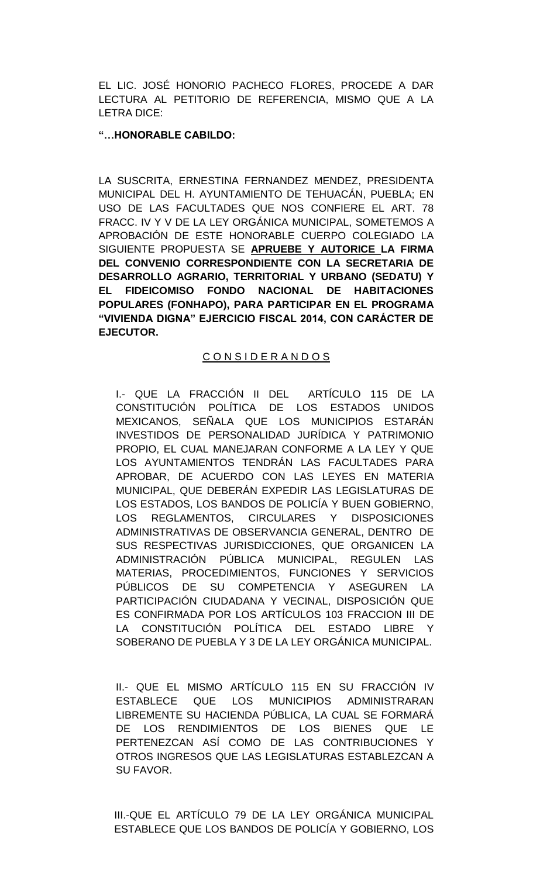EL LIC. JOSÉ HONORIO PACHECO FLORES, PROCEDE A DAR LECTURA AL PETITORIO DE REFERENCIA, MISMO QUE A LA LETRA DICE:

## **"…HONORABLE CABILDO:**

LA SUSCRITA, ERNESTINA FERNANDEZ MENDEZ, PRESIDENTA MUNICIPAL DEL H. AYUNTAMIENTO DE TEHUACÁN, PUEBLA; EN USO DE LAS FACULTADES QUE NOS CONFIERE EL ART. 78 FRACC. IV Y V DE LA LEY ORGÁNICA MUNICIPAL, SOMETEMOS A APROBACIÓN DE ESTE HONORABLE CUERPO COLEGIADO LA SIGUIENTE PROPUESTA SE **APRUEBE Y AUTORICE LA FIRMA DEL CONVENIO CORRESPONDIENTE CON LA SECRETARIA DE DESARROLLO AGRARIO, TERRITORIAL Y URBANO (SEDATU) Y EL FIDEICOMISO FONDO NACIONAL DE HABITACIONES POPULARES (FONHAPO), PARA PARTICIPAR EN EL PROGRAMA "VIVIENDA DIGNA" EJERCICIO FISCAL 2014, CON CARÁCTER DE EJECUTOR.**

# C O N S I D E R A N D O S

I.- QUE LA FRACCIÓN II DEL ARTÍCULO 115 DE LA CONSTITUCIÓN POLÍTICA DE LOS ESTADOS UNIDOS MEXICANOS, SEÑALA QUE LOS MUNICIPIOS ESTARÁN INVESTIDOS DE PERSONALIDAD JURÍDICA Y PATRIMONIO PROPIO, EL CUAL MANEJARAN CONFORME A LA LEY Y QUE LOS AYUNTAMIENTOS TENDRÁN LAS FACULTADES PARA APROBAR, DE ACUERDO CON LAS LEYES EN MATERIA MUNICIPAL, QUE DEBERÁN EXPEDIR LAS LEGISLATURAS DE LOS ESTADOS, LOS BANDOS DE POLICÍA Y BUEN GOBIERNO, LOS REGLAMENTOS, CIRCULARES Y DISPOSICIONES ADMINISTRATIVAS DE OBSERVANCIA GENERAL, DENTRO DE SUS RESPECTIVAS JURISDICCIONES, QUE ORGANICEN LA ADMINISTRACIÓN PÚBLICA MUNICIPAL, REGULEN LAS MATERIAS, PROCEDIMIENTOS, FUNCIONES Y SERVICIOS PÚBLICOS DE SU COMPETENCIA Y ASEGUREN LA PARTICIPACIÓN CIUDADANA Y VECINAL, DISPOSICIÓN QUE ES CONFIRMADA POR LOS ARTÍCULOS 103 FRACCION III DE LA CONSTITUCIÓN POLÍTICA DEL ESTADO LIBRE Y SOBERANO DE PUEBLA Y 3 DE LA LEY ORGÁNICA MUNICIPAL.

II.- QUE EL MISMO ARTÍCULO 115 EN SU FRACCIÓN IV ESTABLECE QUE LOS MUNICIPIOS ADMINISTRARAN LIBREMENTE SU HACIENDA PÚBLICA, LA CUAL SE FORMARÁ DE LOS RENDIMIENTOS DE LOS BIENES QUE LE PERTENEZCAN ASÍ COMO DE LAS CONTRIBUCIONES Y OTROS INGRESOS QUE LAS LEGISLATURAS ESTABLEZCAN A SU FAVOR.

III.-QUE EL ARTÍCULO 79 DE LA LEY ORGÁNICA MUNICIPAL ESTABLECE QUE LOS BANDOS DE POLICÍA Y GOBIERNO, LOS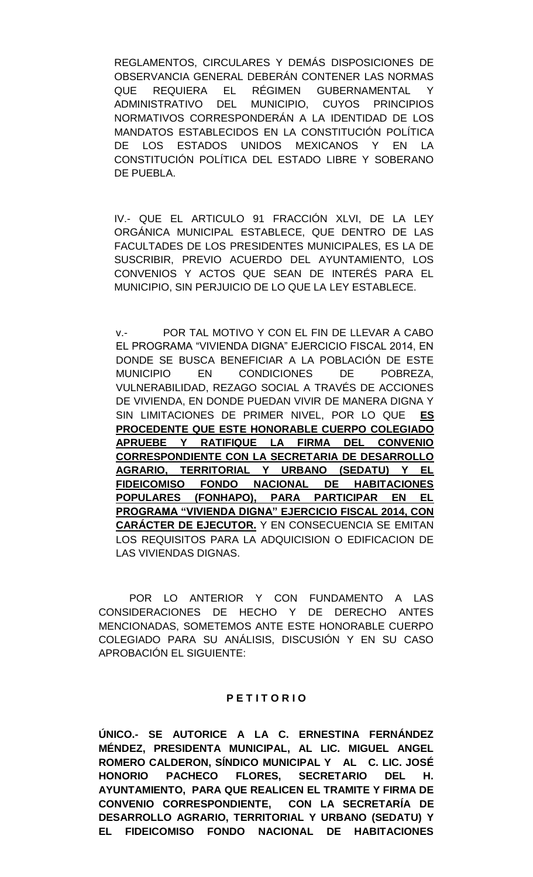REGLAMENTOS, CIRCULARES Y DEMÁS DISPOSICIONES DE OBSERVANCIA GENERAL DEBERÁN CONTENER LAS NORMAS QUE REQUIERA EL RÉGIMEN GUBERNAMENTAL Y ADMINISTRATIVO DEL MUNICIPIO, CUYOS PRINCIPIOS NORMATIVOS CORRESPONDERÁN A LA IDENTIDAD DE LOS MANDATOS ESTABLECIDOS EN LA CONSTITUCIÓN POLÍTICA DE LOS ESTADOS UNIDOS MEXICANOS Y EN LA CONSTITUCIÓN POLÍTICA DEL ESTADO LIBRE Y SOBERANO DE PUEBLA.

IV.- QUE EL ARTICULO 91 FRACCIÓN XLVI, DE LA LEY ORGÁNICA MUNICIPAL ESTABLECE, QUE DENTRO DE LAS FACULTADES DE LOS PRESIDENTES MUNICIPALES, ES LA DE SUSCRIBIR, PREVIO ACUERDO DEL AYUNTAMIENTO, LOS CONVENIOS Y ACTOS QUE SEAN DE INTERÉS PARA EL MUNICIPIO, SIN PERJUICIO DE LO QUE LA LEY ESTABLECE.

v.- POR TAL MOTIVO Y CON EL FIN DE LLEVAR A CABO EL PROGRAMA "VIVIENDA DIGNA" EJERCICIO FISCAL 2014, EN DONDE SE BUSCA BENEFICIAR A LA POBLACIÓN DE ESTE MUNICIPIO EN CONDICIONES DE POBREZA, VULNERABILIDAD, REZAGO SOCIAL A TRAVÉS DE ACCIONES DE VIVIENDA, EN DONDE PUEDAN VIVIR DE MANERA DIGNA Y SIN LIMITACIONES DE PRIMER NIVEL, POR LO QUE **ES PROCEDENTE QUE ESTE HONORABLE CUERPO COLEGIADO APRUEBE Y RATIFIQUE LA FIRMA DEL CONVENIO CORRESPONDIENTE CON LA SECRETARIA DE DESARROLLO AGRARIO, TERRITORIAL Y URBANO (SEDATU) Y EL FIDEICOMISO FONDO NACIONAL DE HABITACIONES POPULARES (FONHAPO), PARA PARTICIPAR EN EL PROGRAMA "VIVIENDA DIGNA" EJERCICIO FISCAL 2014, CON CARÁCTER DE EJECUTOR.** Y EN CONSECUENCIA SE EMITAN LOS REQUISITOS PARA LA ADQUICISION O EDIFICACION DE LAS VIVIENDAS DIGNAS.

POR LO ANTERIOR Y CON FUNDAMENTO A LAS CONSIDERACIONES DE HECHO Y DE DERECHO ANTES MENCIONADAS, SOMETEMOS ANTE ESTE HONORABLE CUERPO COLEGIADO PARA SU ANÁLISIS, DISCUSIÓN Y EN SU CASO APROBACIÓN EL SIGUIENTE:

#### **P E T I T O R I O**

**ÚNICO.- SE AUTORICE A LA C. ERNESTINA FERNÁNDEZ MÉNDEZ, PRESIDENTA MUNICIPAL, AL LIC. MIGUEL ANGEL ROMERO CALDERON, SÍNDICO MUNICIPAL Y AL C. LIC. JOSÉ HONORIO PACHECO FLORES, SECRETARIO DEL H. AYUNTAMIENTO, PARA QUE REALICEN EL TRAMITE Y FIRMA DE CONVENIO CORRESPONDIENTE, CON LA SECRETARÍA DE DESARROLLO AGRARIO, TERRITORIAL Y URBANO (SEDATU) Y EL FIDEICOMISO FONDO NACIONAL DE HABITACIONES**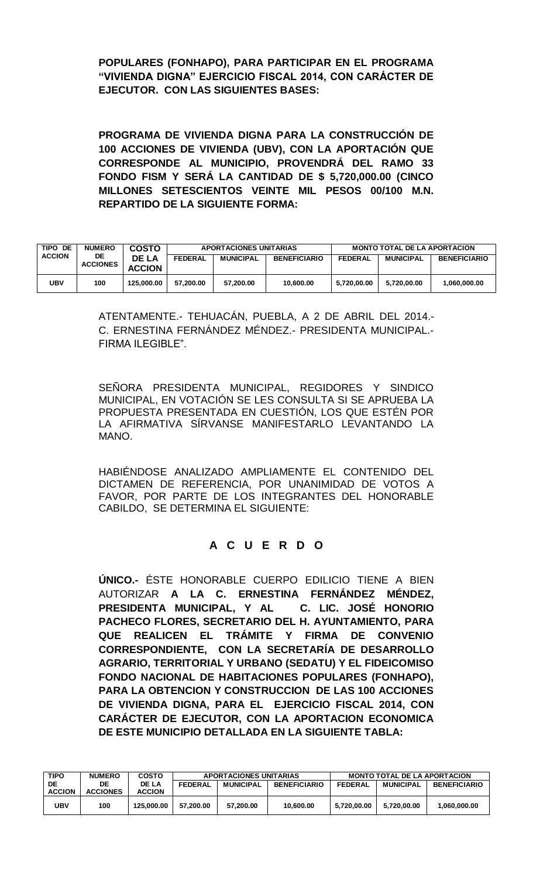**POPULARES (FONHAPO), PARA PARTICIPAR EN EL PROGRAMA "VIVIENDA DIGNA" EJERCICIO FISCAL 2014, CON CARÁCTER DE EJECUTOR. CON LAS SIGUIENTES BASES:**

**PROGRAMA DE VIVIENDA DIGNA PARA LA CONSTRUCCIÓN DE 100 ACCIONES DE VIVIENDA (UBV), CON LA APORTACIÓN QUE CORRESPONDE AL MUNICIPIO, PROVENDRÁ DEL RAMO 33 FONDO FISM Y SERÁ LA CANTIDAD DE \$ 5,720,000.00 (CINCO MILLONES SETESCIENTOS VEINTE MIL PESOS 00/100 M.N. REPARTIDO DE LA SIGUIENTE FORMA:**

| TIPO DE       | <b>NUMERO</b>                                    | COSTO          | APORTACIONES UNITARIAS |                     | <b>MONTO TOTAL DE LA APORTACION</b> |                  |                     |              |
|---------------|--------------------------------------------------|----------------|------------------------|---------------------|-------------------------------------|------------------|---------------------|--------------|
| <b>ACCION</b> | DE.<br>DE LA<br><b>ACCIONES</b><br><b>ACCION</b> | <b>FEDERAL</b> | <b>MUNICIPAL</b>       | <b>BENEFICIARIO</b> | <b>FEDERAL</b>                      | <b>MUNICIPAL</b> | <b>BENEFICIARIO</b> |              |
| UBV           | 100                                              | 125.000.00     | 57.200.00              | 57.200.00           | 10.600.00                           | 5.720.00.00      | 5.720.00.00         | 1.060.000.00 |

ATENTAMENTE.- TEHUACÁN, PUEBLA, A 2 DE ABRIL DEL 2014.- C. ERNESTINA FERNÁNDEZ MÉNDEZ.- PRESIDENTA MUNICIPAL.- FIRMA ILEGIBLE".

SEÑORA PRESIDENTA MUNICIPAL, REGIDORES Y SINDICO MUNICIPAL, EN VOTACIÓN SE LES CONSULTA SI SE APRUEBA LA PROPUESTA PRESENTADA EN CUESTIÓN, LOS QUE ESTÉN POR LA AFIRMATIVA SÍRVANSE MANIFESTARLO LEVANTANDO LA MANO.

HABIÉNDOSE ANALIZADO AMPLIAMENTE EL CONTENIDO DEL DICTAMEN DE REFERENCIA, POR UNANIMIDAD DE VOTOS A FAVOR, POR PARTE DE LOS INTEGRANTES DEL HONORABLE CABILDO, SE DETERMINA EL SIGUIENTE:

# **A C U E R D O**

**ÚNICO.-** ÉSTE HONORABLE CUERPO EDILICIO TIENE A BIEN AUTORIZAR **A LA C. ERNESTINA FERNÁNDEZ MÉNDEZ, PRESIDENTA MUNICIPAL, Y AL C. LIC. JOSÉ HONORIO PACHECO FLORES, SECRETARIO DEL H. AYUNTAMIENTO, PARA QUE REALICEN EL TRÁMITE Y FIRMA DE CONVENIO CORRESPONDIENTE, CON LA SECRETARÍA DE DESARROLLO AGRARIO, TERRITORIAL Y URBANO (SEDATU) Y EL FIDEICOMISO FONDO NACIONAL DE HABITACIONES POPULARES (FONHAPO), PARA LA OBTENCION Y CONSTRUCCION DE LAS 100 ACCIONES DE VIVIENDA DIGNA, PARA EL EJERCICIO FISCAL 2014, CON CARÁCTER DE EJECUTOR, CON LA APORTACION ECONOMICA DE ESTE MUNICIPIO DETALLADA EN LA SIGUIENTE TABLA:**

| <b>TIPO</b>         | <b>NUMERO</b>         | <b>COSTO</b>                  | <b>APORTACIONES UNITARIAS</b> |           |                     |                | <b>MONTO TOTAL DE LA APORTACION</b> |                     |
|---------------------|-----------------------|-------------------------------|-------------------------------|-----------|---------------------|----------------|-------------------------------------|---------------------|
| DE<br><b>ACCION</b> | DE<br><b>ACCIONES</b> | <b>DE LA</b><br><b>ACCION</b> | <b>FEDERAL</b>                | MUNICIPAL | <b>BENEFICIARIO</b> | <b>FEDERAL</b> | <b>MUNICIPAL</b>                    | <b>BENEFICIARIO</b> |
| UBV                 | 100                   | 125.000.00                    | 57.200.00                     | 57.200.00 | 10.600.00           | 5.720.00.00    | 5.720.00.00                         | 1,060,000.00        |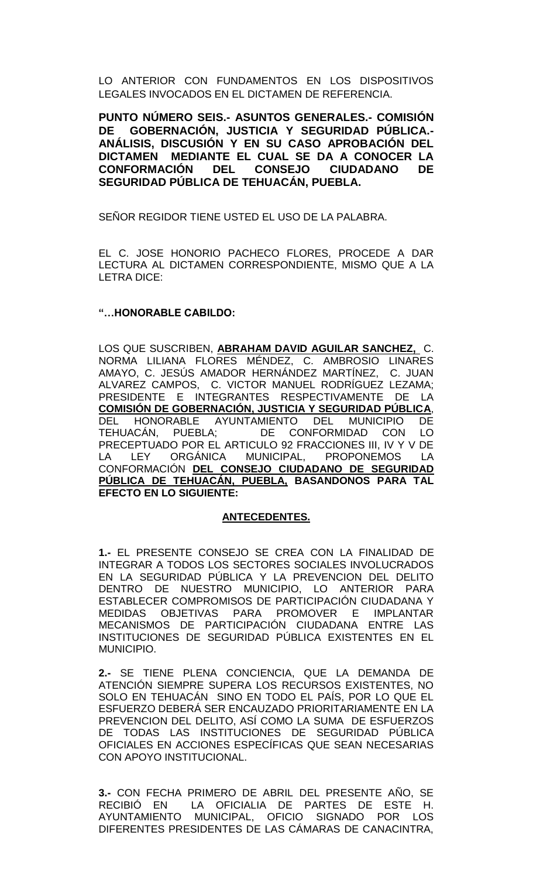LO ANTERIOR CON FUNDAMENTOS EN LOS DISPOSITIVOS LEGALES INVOCADOS EN EL DICTAMEN DE REFERENCIA.

**PUNTO NÚMERO SEIS.- ASUNTOS GENERALES.- COMISIÓN DE GOBERNACIÓN, JUSTICIA Y SEGURIDAD PÚBLICA.- ANÁLISIS, DISCUSIÓN Y EN SU CASO APROBACIÓN DEL DICTAMEN MEDIANTE EL CUAL SE DA A CONOCER LA CONFORMACIÓN DEL CONSEJO CIUDADANO DE SEGURIDAD PÚBLICA DE TEHUACÁN, PUEBLA.**

SEÑOR REGIDOR TIENE USTED EL USO DE LA PALABRA.

EL C. JOSE HONORIO PACHECO FLORES, PROCEDE A DAR LECTURA AL DICTAMEN CORRESPONDIENTE, MISMO QUE A LA LETRA DICE:

## **"…HONORABLE CABILDO:**

LOS QUE SUSCRIBEN, **ABRAHAM DAVID AGUILAR SANCHEZ,** C. NORMA LILIANA FLORES MÉNDEZ, C. AMBROSIO LINARES AMAYO, C. JESÚS AMADOR HERNÁNDEZ MARTÍNEZ, C. JUAN ALVAREZ CAMPOS, C. VICTOR MANUEL RODRÍGUEZ LEZAMA; PRESIDENTE E INTEGRANTES RESPECTIVAMENTE DE LA **COMISIÓN DE GOBERNACIÓN, JUSTICIA Y SEGURIDAD PÚBLICA**, DEL HONORABLE AYUNTAMIENTO DEL MUNICIPIO DE TEHUACÁN, PUEBLA; DE CONFORMIDAD CON LO PRECEPTUADO POR EL ARTICULO 92 FRACCIONES III, IV Y V DE<br>LA LEY ORGÁNICA MUNICIPAL, PROPONEMOS LA LA LEY ORGÁNICA MUNICIPAL, PROPONEMOS LA CONFORMACIÓN **DEL CONSEJO CIUDADANO DE SEGURIDAD PÚBLICA DE TEHUACÁN, PUEBLA, BASANDONOS PARA TAL EFECTO EN LO SIGUIENTE:**

## **ANTECEDENTES.**

**1.-** EL PRESENTE CONSEJO SE CREA CON LA FINALIDAD DE INTEGRAR A TODOS LOS SECTORES SOCIALES INVOLUCRADOS EN LA SEGURIDAD PÚBLICA Y LA PREVENCION DEL DELITO DENTRO DE NUESTRO MUNICIPIO, LO ANTERIOR PARA ESTABLECER COMPROMISOS DE PARTICIPACIÓN CIUDADANA Y MEDIDAS OBJETIVAS PARA PROMOVER E IMPLANTAR MECANISMOS DE PARTICIPACIÓN CIUDADANA ENTRE LAS INSTITUCIONES DE SEGURIDAD PÚBLICA EXISTENTES EN EL MUNICIPIO.

**2.-** SE TIENE PLENA CONCIENCIA, QUE LA DEMANDA DE ATENCIÓN SIEMPRE SUPERA LOS RECURSOS EXISTENTES, NO SOLO EN TEHUACÁN SINO EN TODO EL PAÍS, POR LO QUE EL ESFUERZO DEBERÁ SER ENCAUZADO PRIORITARIAMENTE EN LA PREVENCION DEL DELITO, ASÍ COMO LA SUMA DE ESFUERZOS DE TODAS LAS INSTITUCIONES DE SEGURIDAD PÚBLICA OFICIALES EN ACCIONES ESPECÍFICAS QUE SEAN NECESARIAS CON APOYO INSTITUCIONAL.

**3.-** CON FECHA PRIMERO DE ABRIL DEL PRESENTE AÑO, SE RECIBIÓ EN LA OFICIALIA DE PARTES DE ESTE H. AYUNTAMIENTO MUNICIPAL, OFICIO SIGNADO POR LOS DIFERENTES PRESIDENTES DE LAS CÁMARAS DE CANACINTRA,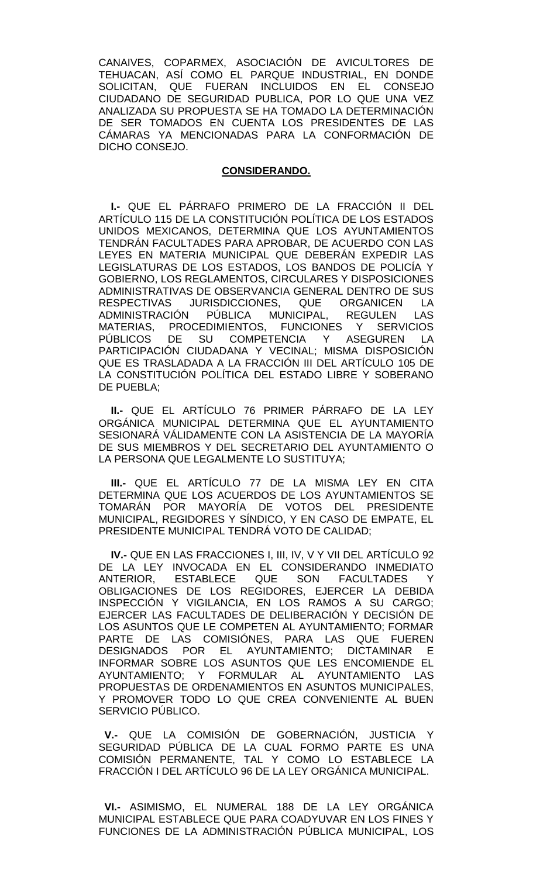CANAIVES, COPARMEX, ASOCIACIÓN DE AVICULTORES DE TEHUACAN, ASÍ COMO EL PARQUE INDUSTRIAL, EN DONDE SOLICITAN, QUE FUERAN INCLUIDOS EN EL CONSEJO CIUDADANO DE SEGURIDAD PUBLICA, POR LO QUE UNA VEZ ANALIZADA SU PROPUESTA SE HA TOMADO LA DETERMINACIÓN DE SER TOMADOS EN CUENTA LOS PRESIDENTES DE LAS CÁMARAS YA MENCIONADAS PARA LA CONFORMACIÓN DE DICHO CONSEJO.

#### **CONSIDERANDO.**

**I.-** QUE EL PÁRRAFO PRIMERO DE LA FRACCIÓN II DEL ARTÍCULO 115 DE LA CONSTITUCIÓN POLÍTICA DE LOS ESTADOS UNIDOS MEXICANOS, DETERMINA QUE LOS AYUNTAMIENTOS TENDRÁN FACULTADES PARA APROBAR, DE ACUERDO CON LAS LEYES EN MATERIA MUNICIPAL QUE DEBERÁN EXPEDIR LAS LEGISLATURAS DE LOS ESTADOS, LOS BANDOS DE POLICÍA Y GOBIERNO, LOS REGLAMENTOS, CIRCULARES Y DISPOSICIONES ADMINISTRATIVAS DE OBSERVANCIA GENERAL DENTRO DE SUS RESPECTIVAS JURISDICCIONES, QUE ORGANICEN LA ADMINISTRACIÓN PÚBLICA MUNICIPAL, REGULEN LAS MATERIAS, PROCEDIMIENTOS, FUNCIONES Y SERVICIOS PÚBLICOS DE SU COMPETENCIA Y ASEGUREN LA PARTICIPACIÓN CIUDADANA Y VECINAL; MISMA DISPOSICIÓN QUE ES TRASLADADA A LA FRACCIÓN III DEL ARTÍCULO 105 DE LA CONSTITUCIÓN POLÍTICA DEL ESTADO LIBRE Y SOBERANO DE PUEBLA;

**II.-** QUE EL ARTÍCULO 76 PRIMER PÁRRAFO DE LA LEY ORGÁNICA MUNICIPAL DETERMINA QUE EL AYUNTAMIENTO SESIONARÁ VÁLIDAMENTE CON LA ASISTENCIA DE LA MAYORÍA DE SUS MIEMBROS Y DEL SECRETARIO DEL AYUNTAMIENTO O LA PERSONA QUE LEGALMENTE LO SUSTITUYA;

**III.-** QUE EL ARTÍCULO 77 DE LA MISMA LEY EN CITA DETERMINA QUE LOS ACUERDOS DE LOS AYUNTAMIENTOS SE TOMARÁN POR MAYORÍA DE VOTOS DEL PRESIDENTE MUNICIPAL, REGIDORES Y SÍNDICO, Y EN CASO DE EMPATE, EL PRESIDENTE MUNICIPAL TENDRÁ VOTO DE CALIDAD;

**IV.-** QUE EN LAS FRACCIONES I, III, IV, V Y VII DEL ARTÍCULO 92 DE LA LEY INVOCADA EN EL CONSIDERANDO INMEDIATO ANTERIOR, ESTABLECE QUE SON FACULTADES OBLIGACIONES DE LOS REGIDORES, EJERCER LA DEBIDA INSPECCIÓN Y VIGILANCIA, EN LOS RAMOS A SU CARGO; EJERCER LAS FACULTADES DE DELIBERACIÓN Y DECISIÓN DE LOS ASUNTOS QUE LE COMPETEN AL AYUNTAMIENTO; FORMAR PARTE DE LAS COMISIÓNES, PARA LAS QUE FUEREN DESIGNADOS POR EL AYUNTAMIENTO; DICTAMINAR E INFORMAR SOBRE LOS ASUNTOS QUE LES ENCOMIENDE EL AYUNTAMIENTO; Y FORMULAR AL AYUNTAMIENTO LAS PROPUESTAS DE ORDENAMIENTOS EN ASUNTOS MUNICIPALES, Y PROMOVER TODO LO QUE CREA CONVENIENTE AL BUEN SERVICIO PÚBLICO.

 **V.-** QUE LA COMISIÓN DE GOBERNACIÓN, JUSTICIA Y SEGURIDAD PÚBLICA DE LA CUAL FORMO PARTE ES UNA COMISIÓN PERMANENTE, TAL Y COMO LO ESTABLECE LA FRACCIÓN I DEL ARTÍCULO 96 DE LA LEY ORGÁNICA MUNICIPAL.

 **VI.-** ASIMISMO, EL NUMERAL 188 DE LA LEY ORGÁNICA MUNICIPAL ESTABLECE QUE PARA COADYUVAR EN LOS FINES Y FUNCIONES DE LA ADMINISTRACIÓN PÚBLICA MUNICIPAL, LOS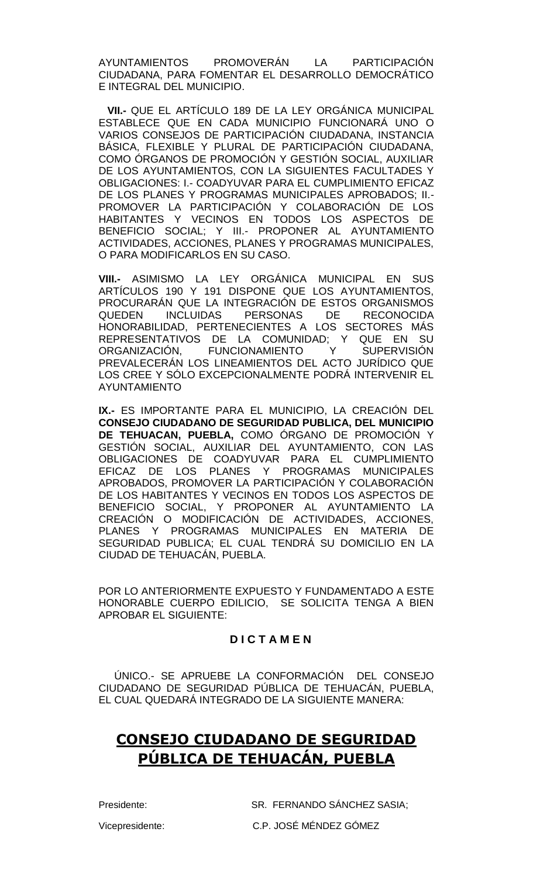AYUNTAMIENTOS PROMOVERÁN LA PARTICIPACIÓN CIUDADANA, PARA FOMENTAR EL DESARROLLO DEMOCRÁTICO E INTEGRAL DEL MUNICIPIO.

**VII.-** QUE EL ARTÍCULO 189 DE LA LEY ORGÁNICA MUNICIPAL ESTABLECE QUE EN CADA MUNICIPIO FUNCIONARÁ UNO O VARIOS CONSEJOS DE PARTICIPACIÓN CIUDADANA, INSTANCIA BÁSICA, FLEXIBLE Y PLURAL DE PARTICIPACIÓN CIUDADANA, COMO ÓRGANOS DE PROMOCIÓN Y GESTIÓN SOCIAL, AUXILIAR DE LOS AYUNTAMIENTOS, CON LA SIGUIENTES FACULTADES Y OBLIGACIONES: I.- COADYUVAR PARA EL CUMPLIMIENTO EFICAZ DE LOS PLANES Y PROGRAMAS MUNICIPALES APROBADOS; II.- PROMOVER LA PARTICIPACIÓN Y COLABORACIÓN DE LOS HABITANTES Y VECINOS EN TODOS LOS ASPECTOS DE BENEFICIO SOCIAL; Y III.- PROPONER AL AYUNTAMIENTO ACTIVIDADES, ACCIONES, PLANES Y PROGRAMAS MUNICIPALES, O PARA MODIFICARLOS EN SU CASO.

**VIII.-** ASIMISMO LA LEY ORGÁNICA MUNICIPAL EN SUS ARTÍCULOS 190 Y 191 DISPONE QUE LOS AYUNTAMIENTOS, PROCURARÁN QUE LA INTEGRACIÓN DE ESTOS ORGANISMOS QUEDEN INCLUIDAS PERSONAS DE RECONOCIDA HONORABILIDAD, PERTENECIENTES A LOS SECTORES MÁS REPRESENTATIVOS DE LA COMUNIDAD; Y QUE EN SU ORGANIZACIÓN, FUNCIONAMIENTO Y SUPERVISIÓN PREVALECERÁN LOS LINEAMIENTOS DEL ACTO JURÍDICO QUE LOS CREE Y SÓLO EXCEPCIONALMENTE PODRÁ INTERVENIR EL AYUNTAMIENTO

**IX.-** ES IMPORTANTE PARA EL MUNICIPIO, LA CREACIÓN DEL **CONSEJO CIUDADANO DE SEGURIDAD PUBLICA, DEL MUNICIPIO DE TEHUACAN, PUEBLA,** COMO ÓRGANO DE PROMOCIÓN Y GESTIÓN SOCIAL, AUXILIAR DEL AYUNTAMIENTO, CON LAS OBLIGACIONES DE COADYUVAR PARA EL CUMPLIMIENTO EFICAZ DE LOS PLANES Y PROGRAMAS MUNICIPALES APROBADOS, PROMOVER LA PARTICIPACIÓN Y COLABORACIÓN DE LOS HABITANTES Y VECINOS EN TODOS LOS ASPECTOS DE BENEFICIO SOCIAL, Y PROPONER AL AYUNTAMIENTO LA CREACIÓN O MODIFICACIÓN DE ACTIVIDADES, ACCIONES, PLANES Y PROGRAMAS MUNICIPALES EN MATERIA DE SEGURIDAD PUBLICA; EL CUAL TENDRÁ SU DOMICILIO EN LA CIUDAD DE TEHUACÁN, PUEBLA.

POR LO ANTERIORMENTE EXPUESTO Y FUNDAMENTADO A ESTE HONORABLE CUERPO EDILICIO, SE SOLICITA TENGA A BIEN APROBAR EL SIGUIENTE:

## **D I C T A M E N**

ÚNICO.- SE APRUEBE LA CONFORMACIÓN DEL CONSEJO CIUDADANO DE SEGURIDAD PÚBLICA DE TEHUACÁN, PUEBLA, EL CUAL QUEDARÁ INTEGRADO DE LA SIGUIENTE MANERA:

# **CONSEJO CIUDADANO DE SEGURIDAD PÚBLICA DE TEHUACÁN, PUEBLA**

Presidente: SR. FERNANDO SÁNCHEZ SASIA; Vicepresidente: C.P. JOSÉ MÉNDEZ GÓMEZ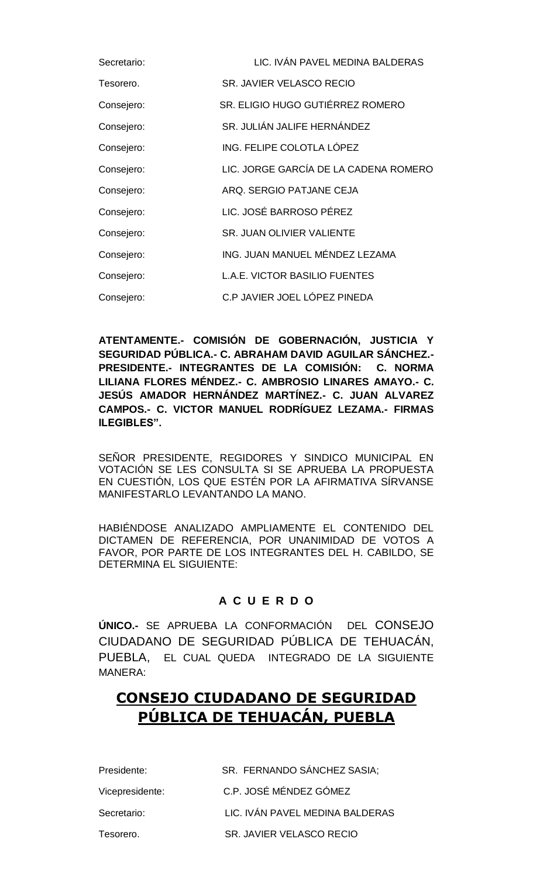| Secretario: | LIC. IVÁN PAVEL MEDINA BALDERAS       |
|-------------|---------------------------------------|
| Tesorero.   | SR. JAVIER VELASCO RECIO              |
| Consejero:  | SR. ELIGIO HUGO GUTIÉRREZ ROMERO      |
| Consejero:  | SR. JULIÁN JALIFE HERNÁNDEZ           |
| Consejero:  | ING. FELIPE COLOTLA LÓPEZ             |
| Consejero:  | LIC. JORGE GARCÍA DE LA CADENA ROMERO |
| Consejero:  | ARQ. SERGIO PATJANE CEJA              |
| Consejero:  | LIC. JOSÉ BARROSO PÉREZ               |
| Consejero:  | SR. JUAN OLIVIER VALIENTE             |
| Consejero:  | ING. JUAN MANUEL MÉNDEZ LEZAMA        |
| Consejero:  | <b>L.A.E. VICTOR BASILIO FUENTES</b>  |
| Consejero:  | C.P JAVIER JOEL LÓPEZ PINEDA          |

**ATENTAMENTE.- COMISIÓN DE GOBERNACIÓN, JUSTICIA Y SEGURIDAD PÚBLICA.- C. ABRAHAM DAVID AGUILAR SÁNCHEZ.- PRESIDENTE.- INTEGRANTES DE LA COMISIÓN: C. NORMA LILIANA FLORES MÉNDEZ.- C. AMBROSIO LINARES AMAYO.- C. JESÚS AMADOR HERNÁNDEZ MARTÍNEZ.- C. JUAN ALVAREZ CAMPOS.- C. VICTOR MANUEL RODRÍGUEZ LEZAMA.- FIRMAS ILEGIBLES".** 

SEÑOR PRESIDENTE, REGIDORES Y SINDICO MUNICIPAL EN VOTACIÓN SE LES CONSULTA SI SE APRUEBA LA PROPUESTA EN CUESTIÓN, LOS QUE ESTÉN POR LA AFIRMATIVA SÍRVANSE MANIFESTARLO LEVANTANDO LA MANO.

HABIÉNDOSE ANALIZADO AMPLIAMENTE EL CONTENIDO DEL DICTAMEN DE REFERENCIA, POR UNANIMIDAD DE VOTOS A FAVOR, POR PARTE DE LOS INTEGRANTES DEL H. CABILDO, SE DETERMINA EL SIGUIENTE:

# **A C U E R D O**

**ÚNICO.-** SE APRUEBA LA CONFORMACIÓN DEL CONSEJO CIUDADANO DE SEGURIDAD PÚBLICA DE TEHUACÁN, PUEBLA, EL CUAL QUEDA INTEGRADO DE LA SIGUIENTE MANERA:

# **CONSEJO CIUDADANO DE SEGURIDAD PÚBLICA DE TEHUACÁN, PUEBLA**

| Presidente:     | SR. FERNANDO SÁNCHEZ SASIA;     |
|-----------------|---------------------------------|
| Vicepresidente: | C.P. JOSÉ MÉNDEZ GÓMEZ          |
| Secretario:     | LIC. IVÁN PAVEL MEDINA BALDERAS |
| Tesorero.       | SR. JAVIER VELASCO RECIO        |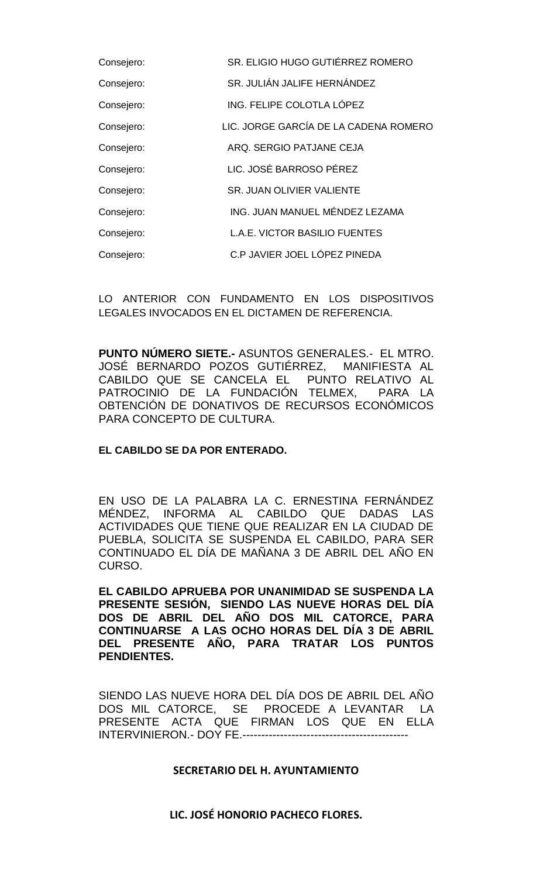| Consejero: | SR. ELIGIO HUGO GUTIÉRREZ ROMERO      |
|------------|---------------------------------------|
| Consejero: | SR. JULIÁN JALIFE HERNÁNDEZ           |
| Consejero: | ING. FELIPE COLOTLA LÓPEZ             |
| Consejero: | LIC. JORGE GARCÍA DE LA CADENA ROMERO |
| Consejero: | ARQ. SERGIO PATJANE CEJA              |
| Consejero: | LIC. JOSÉ BARROSO PÉREZ               |
| Consejero: | SR. JUAN OLIVIER VALIENTE             |
| Consejero: | ING. JUAN MANUEL MÉNDEZ LEZAMA        |
| Consejero: | L.A.E. VICTOR BASILIO FUENTES         |
| Consejero: | C.P JAVIER JOEL LÓPEZ PINEDA          |

LO ANTERIOR CON FUNDAMENTO EN LOS DISPOSITIVOS LEGALES INVOCADOS EN EL DICTAMEN DE REFERENCIA.

**PUNTO NÚMERO SIETE.-** ASUNTOS GENERALES.- EL MTRO. JOSÉ BERNARDO POZOS GUTIÉRREZ, MANIFIESTA AL CABILDO QUE SE CANCELA EL PUNTO RELATIVO AL PATROCINIO DE LA FUNDACIÓN TELMEX, PARA LA OBTENCIÓN DE DONATIVOS DE RECURSOS ECONÓMICOS PARA CONCEPTO DE CULTURA.

# **EL CABILDO SE DA POR ENTERADO.**

EN USO DE LA PALABRA LA C. ERNESTINA FERNÁNDEZ MÉNDEZ, INFORMA AL CABILDO QUE DADAS LAS ACTIVIDADES QUE TIENE QUE REALIZAR EN LA CIUDAD DE PUEBLA, SOLICITA SE SUSPENDA EL CABILDO, PARA SER CONTINUADO EL DÍA DE MAÑANA 3 DE ABRIL DEL AÑO EN CURSO.

**EL CABILDO APRUEBA POR UNANIMIDAD SE SUSPENDA LA PRESENTE SESIÓN, SIENDO LAS NUEVE HORAS DEL DÍA DOS DE ABRIL DEL AÑO DOS MIL CATORCE, PARA CONTINUARSE A LAS OCHO HORAS DEL DÍA 3 DE ABRIL DEL PRESENTE AÑO, PARA TRATAR LOS PUNTOS PENDIENTES.**

SIENDO LAS NUEVE HORA DEL DÍA DOS DE ABRIL DEL AÑO DOS MIL CATORCE, SE PROCEDE A LEVANTAR LA PRESENTE ACTA QUE FIRMAN LOS QUE EN ELLA INTERVINIERON.- DOY FE.--------------------------------------------

## **SECRETARIO DEL H. AYUNTAMIENTO**

**LIC. JOSÉ HONORIO PACHECO FLORES.**